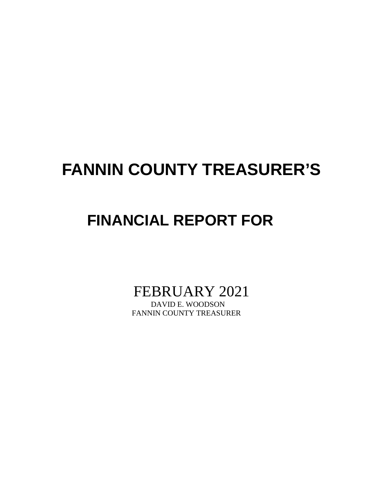# **FANNIN COUNTY TREASURER'S**

# **FINANCIAL REPORT FOR**

FEBRUARY 2021

FANNIN COUNTY TREASURER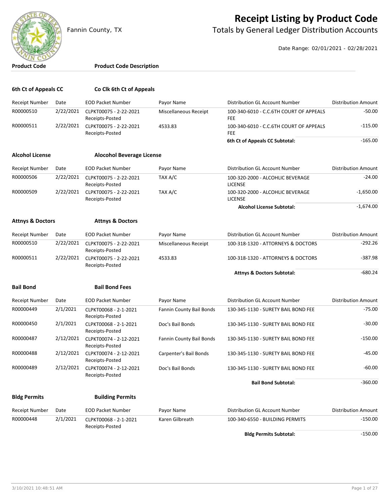

## **Receipt Listing by Product Code**

Fannin County, TX **The County of Totals by General Ledger Distribution Accounts** 

Date Range: 02/01/2021 - 02/28/2021

#### **Product Code Product Code Description**

| 6th Ct of Appeals CC        |           | Co Clk 6th Ct of Appeals                  |                          |                                                       |                            |
|-----------------------------|-----------|-------------------------------------------|--------------------------|-------------------------------------------------------|----------------------------|
| <b>Receipt Number</b>       | Date      | <b>EOD Packet Number</b>                  | Payor Name               | Distribution GL Account Number                        | <b>Distribution Amount</b> |
| R00000510                   | 2/22/2021 | CLPKT00075 - 2-22-2021<br>Receipts-Posted | Miscellaneous Receipt    | 100-340-6010 - C.C.6TH COURT OF APPEALS<br><b>FEE</b> | $-50.00$                   |
| R00000511                   | 2/22/2021 | CLPKT00075 - 2-22-2021<br>Receipts-Posted | 4533.83                  | 100-340-6010 - C.C.6TH COURT OF APPEALS<br><b>FEE</b> | $-115.00$                  |
|                             |           |                                           |                          | 6th Ct of Appeals CC Subtotal:                        | $-165.00$                  |
| <b>Alcohol License</b>      |           | <b>Alocohol Beverage License</b>          |                          |                                                       |                            |
| <b>Receipt Number</b>       | Date      | <b>EOD Packet Number</b>                  | Payor Name               | Distribution GL Account Number                        | <b>Distribution Amount</b> |
| R00000506                   | 2/22/2021 | CLPKT00075 - 2-22-2021<br>Receipts-Posted | TAX A/C                  | 100-320-2000 - ALCOHLIC BEVERAGE<br><b>LICENSE</b>    | $-24.00$                   |
| R00000509                   | 2/22/2021 | CLPKT00075 - 2-22-2021<br>Receipts-Posted | TAX A/C                  | 100-320-2000 - ALCOHLIC BEVERAGE<br><b>LICENSE</b>    | $-1,650.00$                |
|                             |           |                                           |                          | <b>Alcohol License Subtotal:</b>                      | $-1,674.00$                |
| <b>Attnys &amp; Doctors</b> |           | <b>Attnys &amp; Doctors</b>               |                          |                                                       |                            |
| <b>Receipt Number</b>       | Date      | <b>EOD Packet Number</b>                  | Payor Name               | Distribution GL Account Number                        | <b>Distribution Amount</b> |
| R00000510                   | 2/22/2021 | CLPKT00075 - 2-22-2021<br>Receipts-Posted | Miscellaneous Receipt    | 100-318-1320 - ATTORNEYS & DOCTORS                    | $-292.26$                  |
| R00000511                   | 2/22/2021 | CLPKT00075 - 2-22-2021<br>Receipts-Posted | 4533.83                  | 100-318-1320 - ATTORNEYS & DOCTORS                    | $-387.98$                  |
|                             |           |                                           |                          | <b>Attnys &amp; Doctors Subtotal:</b>                 | $-680.24$                  |
| <b>Bail Bond</b>            |           | <b>Bail Bond Fees</b>                     |                          |                                                       |                            |
| <b>Receipt Number</b>       | Date      | <b>EOD Packet Number</b>                  | Payor Name               | Distribution GL Account Number                        | <b>Distribution Amount</b> |
| R00000449                   | 2/1/2021  | CLPKT00068 - 2-1-2021<br>Receipts-Posted  | Fannin County Bail Bonds | 130-345-1130 - SURETY BAIL BOND FEE                   | $-75.00$                   |
| R00000450                   | 2/1/2021  | CLPKT00068 - 2-1-2021<br>Receipts-Posted  | Doc's Bail Bonds         | 130-345-1130 - SURETY BAIL BOND FEE                   | $-30.00$                   |
| R00000487                   | 2/12/2021 | CLPKT00074 - 2-12-2021<br>Receipts-Posted | Fannin County Bail Bonds | 130-345-1130 - SURETY BAIL BOND FEE                   | $-150.00$                  |
| R00000488                   | 2/12/2021 | CLPKT00074 - 2-12-2021<br>Receipts-Posted | Carpenter's Bail Bonds   | 130-345-1130 - SURETY BAIL BOND FEE                   | -45.00                     |
| R00000489                   | 2/12/2021 | CLPKT00074 - 2-12-2021<br>Receipts-Posted | Doc's Bail Bonds         | 130-345-1130 - SURETY BAIL BOND FEE                   | $-60.00$                   |
|                             |           |                                           |                          | <b>Bail Bond Subtotal:</b>                            | $-360.00$                  |
| <b>Bldg Permits</b>         |           | <b>Building Permits</b>                   |                          |                                                       |                            |
| <b>Receipt Number</b>       | Date      | <b>EOD Packet Number</b>                  | Payor Name               | Distribution GL Account Number                        | <b>Distribution Amount</b> |
| R00000448                   | 2/1/2021  | CLPKT00068 - 2-1-2021<br>Receipts-Posted  | Karen Gilbreath          | 100-340-6550 - BUILDING PERMITS                       | $-150.00$                  |
|                             |           |                                           |                          | <b>Bldg Permits Subtotal:</b>                         | $-150.00$                  |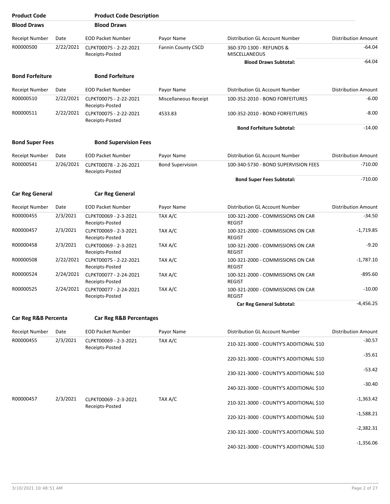| <b>Product Code</b>    |           | <b>Product Code Description</b>           |                           |                                                    |                            |
|------------------------|-----------|-------------------------------------------|---------------------------|----------------------------------------------------|----------------------------|
| <b>Blood Draws</b>     |           | <b>Blood Draws</b>                        |                           |                                                    |                            |
| Receipt Number         | Date      | <b>EOD Packet Number</b>                  | Payor Name                | Distribution GL Account Number                     | <b>Distribution Amount</b> |
| R00000500              | 2/22/2021 | CLPKT00075 - 2-22-2021<br>Receipts-Posted | <b>Fannin County CSCD</b> | 360-370-1300 - REFUNDS &<br><b>MISCELLANEOUS</b>   | $-64.04$                   |
|                        |           |                                           |                           | <b>Blood Draws Subtotal:</b>                       | $-64.04$                   |
| <b>Bond Forfeiture</b> |           | <b>Bond Forfeiture</b>                    |                           |                                                    |                            |
| <b>Receipt Number</b>  | Date      | <b>EOD Packet Number</b>                  | Payor Name                | Distribution GL Account Number                     | <b>Distribution Amount</b> |
| R00000510              | 2/22/2021 | CLPKT00075 - 2-22-2021<br>Receipts-Posted | Miscellaneous Receipt     | 100-352-2010 - BOND FORFEITURES                    | $-6.00$                    |
| R00000511              | 2/22/2021 | CLPKT00075 - 2-22-2021<br>Receipts-Posted | 4533.83                   | 100-352-2010 - BOND FORFEITURES                    | $-8.00$                    |
|                        |           |                                           |                           | <b>Bond Forfeiture Subtotal:</b>                   | $-14.00$                   |
| <b>Bond Super Fees</b> |           | <b>Bond Supervision Fees</b>              |                           |                                                    |                            |
| <b>Receipt Number</b>  | Date      | <b>EOD Packet Number</b>                  | Payor Name                | Distribution GL Account Number                     | <b>Distribution Amount</b> |
| R00000541              | 2/26/2021 | CLPKT00078 - 2-26-2021<br>Receipts-Posted | <b>Bond Supervision</b>   | 100-340-5730 - BOND SUPERVISION FEES               | $-710.00$                  |
|                        |           |                                           |                           | <b>Bond Super Fees Subtotal:</b>                   | $-710.00$                  |
| <b>Car Reg General</b> |           | <b>Car Reg General</b>                    |                           |                                                    |                            |
| Receipt Number         | Date      | <b>EOD Packet Number</b>                  | Payor Name                | Distribution GL Account Number                     | <b>Distribution Amount</b> |
| R00000455              | 2/3/2021  | CLPKT00069 - 2-3-2021<br>Receipts-Posted  | TAX A/C                   | 100-321-2000 - COMMISSIONS ON CAR<br><b>REGIST</b> | $-34.50$                   |
| R00000457              | 2/3/2021  | CLPKT00069 - 2-3-2021<br>Receipts-Posted  | TAX A/C                   | 100-321-2000 - COMMISSIONS ON CAR<br><b>REGIST</b> | $-1,719.85$                |
| R00000458              | 2/3/2021  | CLPKT00069 - 2-3-2021<br>Receipts-Posted  | TAX A/C                   | 100-321-2000 - COMMISSIONS ON CAR<br><b>REGIST</b> | $-9.20$                    |
| R00000508              | 2/22/2021 | CLPKT00075 - 2-22-2021<br>Receipts-Posted | TAX A/C                   | 100-321-2000 - COMMISSIONS ON CAR<br><b>REGIST</b> | $-1,787.10$                |
| R00000524              | 2/24/2021 | CLPKT00077 - 2-24-2021<br>Receipts-Posted | TAX A/C                   | 100-321-2000 - COMMISSIONS ON CAR<br><b>REGIST</b> | $-895.60$                  |
| R00000525              | 2/24/2021 | CLPKT00077 - 2-24-2021<br>Receipts-Posted | TAX A/C                   | 100-321-2000 - COMMISSIONS ON CAR<br><b>REGIST</b> | $-10.00$                   |
|                        |           |                                           |                           | <b>Car Reg General Subtotal:</b>                   | $-4,456.25$                |
| Car Reg R&B Percenta   |           | Car Reg R&B Percentages                   |                           |                                                    |                            |
| Receipt Number         | Date      | <b>EOD Packet Number</b>                  | Payor Name                | Distribution GL Account Number                     | <b>Distribution Amount</b> |
| R00000455              | 2/3/2021  | CLPKT00069 - 2-3-2021<br>Receipts-Posted  | TAX A/C                   | 210-321-3000 - COUNTY'S ADDITIONAL \$10            | $-30.57$                   |
|                        |           |                                           |                           | 220-321-3000 - COUNTY'S ADDITIONAL \$10            | $-35.61$                   |
|                        |           |                                           |                           | 230-321-3000 - COUNTY'S ADDITIONAL \$10            | $-53.42$                   |
|                        |           |                                           |                           | 240-321-3000 - COUNTY'S ADDITIONAL \$10            | $-30.40$                   |
| R00000457              | 2/3/2021  | CLPKT00069 - 2-3-2021<br>Receipts-Posted  | TAX A/C                   | 210-321-3000 - COUNTY'S ADDITIONAL \$10            | $-1,363.42$                |
|                        |           |                                           |                           | 220-321-3000 - COUNTY'S ADDITIONAL \$10            | $-1,588.21$                |
|                        |           |                                           |                           | 230-321-3000 - COUNTY'S ADDITIONAL \$10            | $-2,382.31$                |
|                        |           |                                           |                           | 240-321-3000 - COUNTY'S ADDITIONAL \$10            | $-1,356.06$                |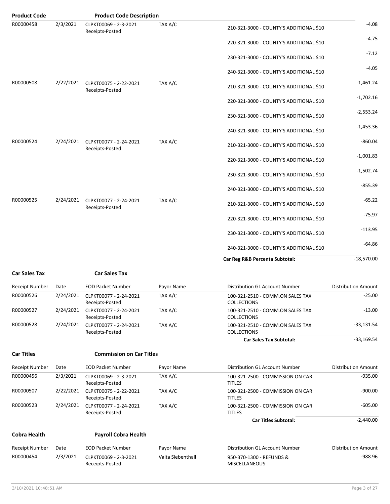| <b>Product Code</b>   |           | <b>Product Code Description</b>           |            |                                                        |                            |
|-----------------------|-----------|-------------------------------------------|------------|--------------------------------------------------------|----------------------------|
| R00000458             | 2/3/2021  | CLPKT00069 - 2-3-2021<br>Receipts-Posted  | TAX A/C    | 210-321-3000 - COUNTY'S ADDITIONAL \$10                | $-4.08$                    |
|                       |           |                                           |            | 220-321-3000 - COUNTY'S ADDITIONAL \$10                | $-4.75$                    |
|                       |           |                                           |            | 230-321-3000 - COUNTY'S ADDITIONAL \$10                | $-7.12$                    |
|                       |           |                                           |            | 240-321-3000 - COUNTY'S ADDITIONAL \$10                | $-4.05$                    |
| R00000508             | 2/22/2021 | CLPKT00075 - 2-22-2021<br>Receipts-Posted | TAX A/C    | 210-321-3000 - COUNTY'S ADDITIONAL \$10                | $-1,461.24$                |
|                       |           |                                           |            | 220-321-3000 - COUNTY'S ADDITIONAL \$10                | $-1,702.16$                |
|                       |           |                                           |            | 230-321-3000 - COUNTY'S ADDITIONAL \$10                | $-2,553.24$                |
|                       |           |                                           |            | 240-321-3000 - COUNTY'S ADDITIONAL \$10                | $-1,453.36$                |
| R00000524             | 2/24/2021 | CLPKT00077 - 2-24-2021<br>Receipts-Posted | TAX A/C    | 210-321-3000 - COUNTY'S ADDITIONAL \$10                | $-860.04$                  |
|                       |           |                                           |            | 220-321-3000 - COUNTY'S ADDITIONAL \$10                | $-1,001.83$                |
|                       |           |                                           |            | 230-321-3000 - COUNTY'S ADDITIONAL \$10                | $-1,502.74$                |
|                       |           |                                           |            | 240-321-3000 - COUNTY'S ADDITIONAL \$10                | $-855.39$                  |
| R00000525             | 2/24/2021 | CLPKT00077 - 2-24-2021<br>Receipts-Posted | TAX A/C    | 210-321-3000 - COUNTY'S ADDITIONAL \$10                | $-65.22$                   |
|                       |           |                                           |            | 220-321-3000 - COUNTY'S ADDITIONAL \$10                | $-75.97$                   |
|                       |           |                                           |            | 230-321-3000 - COUNTY'S ADDITIONAL \$10                | $-113.95$                  |
|                       |           |                                           |            | 240-321-3000 - COUNTY'S ADDITIONAL \$10                | $-64.86$                   |
|                       |           |                                           |            | Car Reg R&B Percenta Subtotal:                         | $-18,570.00$               |
| <b>Car Sales Tax</b>  |           | <b>Car Sales Tax</b>                      |            |                                                        |                            |
| <b>Receipt Number</b> | Date      | <b>EOD Packet Number</b>                  | Payor Name | Distribution GL Account Number                         | <b>Distribution Amount</b> |
| R00000526             | 2/24/2021 | CLPKT00077 - 2-24-2021<br>Receipts-Posted | TAX A/C    | 100-321-2510 - COMM.ON SALES TAX<br><b>COLLECTIONS</b> | $-25.00$                   |
| R00000527             | 2/24/2021 | CLPKT00077 - 2-24-2021                    | TAX A/C    | 100-321-2510 - COMM.ON SALES TAX                       | $-13.00$                   |

COLLECTIONS **Car Sales Tax Subtotal:**  $-33,169.54$ 

**Car Titles Commission on Car Titles**

R00000528 2/24/2021 CLPKT00077 - 2-24-2021

Receipts-Posted

Receipts-Posted

| <b>Receipt Number</b> | Date      | <b>EOD Packet Number</b>                  | Payor Name | Distribution GL Account Number                    | <b>Distribution Amount</b> |
|-----------------------|-----------|-------------------------------------------|------------|---------------------------------------------------|----------------------------|
| R00000456             | 2/3/2021  | CLPKT00069 - 2-3-2021<br>Receipts-Posted  | TAX A/C    | 100-321-2500 - COMMISSION ON CAR<br><b>TITLES</b> | $-935.00$                  |
| R00000507             | 2/22/2021 | CLPKT00075 - 2-22-2021<br>Receipts-Posted | TAX A/C    | 100-321-2500 - COMMISSION ON CAR<br><b>TITLES</b> | -900.00                    |
| R00000523             | 2/24/2021 | CLPKT00077 - 2-24-2021<br>Receipts-Posted | TAX A/C    | 100-321-2500 - COMMISSION ON CAR<br><b>TITLES</b> | -605.00                    |
|                       |           |                                           |            | <b>Car Titles Subtotal:</b>                       | $-2,440.00$                |

COLLECTIONS

TAX A/C 100-321-2510 - COMM.ON SALES TAX -33,131.54

### **Cobra Health Payroll Cobra Health**

| Receipt Number | Date | EOD Packet Number | Pavor Name        | Distribution GL Account Number | Distribution Amount |
|----------------|------|-------------------|-------------------|--------------------------------|---------------------|
| R00000454      |      |                   | Valta Siebenthall | 950-370-1300 - REFUNDS &       | -988.96             |
|                |      | Receipts-Posted   |                   | MISCELLANEOUS                  |                     |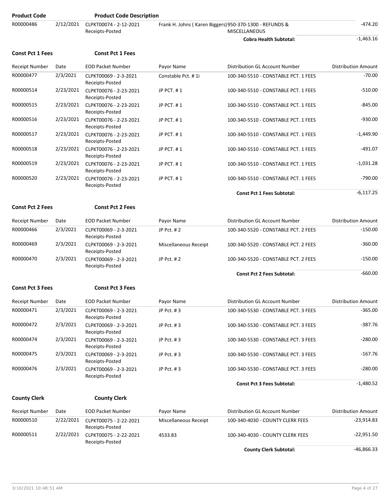| <b>Product Code</b>     |           | <b>Product Code Description</b>           |                       |                                                                                 |                            |
|-------------------------|-----------|-------------------------------------------|-----------------------|---------------------------------------------------------------------------------|----------------------------|
| R00000486               | 2/12/2021 | CLPKT00074 - 2-12-2021<br>Receipts-Posted |                       | Frank H. Johns (Karen Biggers) 950-370-1300 - REFUNDS &<br><b>MISCELLANEOUS</b> | -474.20                    |
|                         |           |                                           |                       | <b>Cobra Health Subtotal:</b>                                                   | $-1,463.16$                |
| <b>Const Pct 1 Fees</b> |           | <b>Const Pct 1 Fees</b>                   |                       |                                                                                 |                            |
| Receipt Number          | Date      | <b>EOD Packet Number</b>                  | Payor Name            | Distribution GL Account Number                                                  | <b>Distribution Amount</b> |
| R00000477               | 2/3/2021  | CLPKT00069 - 2-3-2021<br>Receipts-Posted  | Constable Pct. #1i    | 100-340-5510 - CONSTABLE PCT. 1 FEES                                            | $-70.00$                   |
| R00000514               | 2/23/2021 | CLPKT00076 - 2-23-2021<br>Receipts-Posted | JP PCT. #1            | 100-340-5510 - CONSTABLE PCT. 1 FEES                                            | $-510.00$                  |
| R00000515               | 2/23/2021 | CLPKT00076 - 2-23-2021<br>Receipts-Posted | JP PCT. #1            | 100-340-5510 - CONSTABLE PCT. 1 FEES                                            | $-845.00$                  |
| R00000516               | 2/23/2021 | CLPKT00076 - 2-23-2021<br>Receipts-Posted | JP PCT. #1            | 100-340-5510 - CONSTABLE PCT. 1 FEES                                            | $-930.00$                  |
| R00000517               | 2/23/2021 | CLPKT00076 - 2-23-2021<br>Receipts-Posted | JP PCT. #1            | 100-340-5510 - CONSTABLE PCT, 1 FEES                                            | $-1,449.90$                |
| R00000518               | 2/23/2021 | CLPKT00076 - 2-23-2021<br>Receipts-Posted | JP PCT. #1            | 100-340-5510 - CONSTABLE PCT. 1 FEES                                            | $-491.07$                  |
| R00000519               | 2/23/2021 | CLPKT00076 - 2-23-2021<br>Receipts-Posted | JP PCT. #1            | 100-340-5510 - CONSTABLE PCT. 1 FEES                                            | $-1,031.28$                |
| R00000520               | 2/23/2021 | CLPKT00076 - 2-23-2021<br>Receipts-Posted | JP PCT, #1            | 100-340-5510 - CONSTABLE PCT. 1 FEES                                            | $-790.00$                  |
|                         |           |                                           |                       | <b>Const Pct 1 Fees Subtotal:</b>                                               | $-6,117.25$                |
| <b>Const Pct 2 Fees</b> |           | <b>Const Pct 2 Fees</b>                   |                       |                                                                                 |                            |
| Receipt Number          | Date      | <b>EOD Packet Number</b>                  | Payor Name            | Distribution GL Account Number                                                  | <b>Distribution Amount</b> |
| R00000466               | 2/3/2021  | CLPKT00069 - 2-3-2021<br>Receipts-Posted  | JP Pct. #2            | 100-340-5520 - CONSTABLE PCT. 2 FEES                                            | $-150.00$                  |
| R00000469               | 2/3/2021  | CLPKT00069 - 2-3-2021<br>Receipts-Posted  | Miscellaneous Receipt | 100-340-5520 - CONSTABLE PCT. 2 FEES                                            | -360.00                    |
| R00000470               | 2/3/2021  | CLPKT00069 - 2-3-2021<br>Receipts-Posted  | JP Pct. #2            | 100-340-5520 - CONSTABLE PCT. 2 FEES                                            | $-150.00$                  |
|                         |           |                                           |                       | <b>Const Pct 2 Fees Subtotal:</b>                                               | $-660.00$                  |
| <b>Const Pct 3 Fees</b> |           | <b>Const Pct 3 Fees</b>                   |                       |                                                                                 |                            |
| <b>Receipt Number</b>   | Date      | <b>EOD Packet Number</b>                  | Payor Name            | Distribution GL Account Number                                                  | <b>Distribution Amount</b> |
| R00000471               | 2/3/2021  | CLPKT00069 - 2-3-2021<br>Receipts-Posted  | JP Pct. #3            | 100-340-5530 - CONSTABLE PCT. 3 FEES                                            | $-365.00$                  |
| R00000472               | 2/3/2021  | CLPKT00069 - 2-3-2021<br>Receipts-Posted  | JP Pct. #3            | 100-340-5530 - CONSTABLE PCT. 3 FEES                                            | $-387.76$                  |
| R00000474               | 2/3/2021  | CLPKT00069 - 2-3-2021<br>Receipts-Posted  | JP Pct. #3            | 100-340-5530 - CONSTABLE PCT. 3 FEES                                            | -280.00                    |
| R00000475               | 2/3/2021  | CLPKT00069 - 2-3-2021<br>Receipts-Posted  | JP Pct. #3            | 100-340-5530 - CONSTABLE PCT. 3 FEES                                            | $-167.76$                  |
| R00000476               | 2/3/2021  | CLPKT00069 - 2-3-2021<br>Receipts-Posted  | JP Pct. #3            | 100-340-5530 - CONSTABLE PCT. 3 FEES                                            | $-280.00$                  |
|                         |           |                                           |                       | <b>Const Pct 3 Fees Subtotal:</b>                                               | $-1,480.52$                |
| <b>County Clerk</b>     |           | <b>County Clerk</b>                       |                       |                                                                                 |                            |
| <b>Receipt Number</b>   | Date      | <b>EOD Packet Number</b>                  | Payor Name            | Distribution GL Account Number                                                  | <b>Distribution Amount</b> |
| R00000510               | 2/22/2021 | CLPKT00075 - 2-22-2021<br>Receipts-Posted | Miscellaneous Receipt | 100-340-4030 - COUNTY CLERK FEES                                                | $-23,914.83$               |
| R00000511               | 2/22/2021 | CLPKT00075 - 2-22-2021<br>Receipts-Posted | 4533.83               | 100-340-4030 - COUNTY CLERK FEES                                                | $-22,951.50$               |
|                         |           |                                           |                       | <b>County Clerk Subtotal:</b>                                                   | $-46,866.33$               |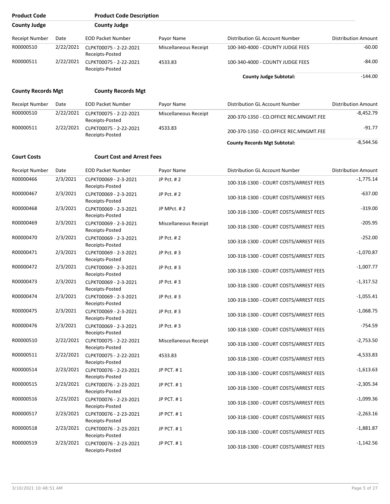| <b>Product Code</b>       |           | <b>Product Code Description</b>           |                       |                                        |                            |
|---------------------------|-----------|-------------------------------------------|-----------------------|----------------------------------------|----------------------------|
| <b>County Judge</b>       |           | <b>County Judge</b>                       |                       |                                        |                            |
| Receipt Number            | Date      | <b>EOD Packet Number</b>                  | Payor Name            | Distribution GL Account Number         | <b>Distribution Amount</b> |
| R00000510                 | 2/22/2021 | CLPKT00075 - 2-22-2021<br>Receipts-Posted | Miscellaneous Receipt | 100-340-4000 - COUNTY JUDGE FEES       | $-60.00$                   |
| R00000511                 | 2/22/2021 | CLPKT00075 - 2-22-2021<br>Receipts-Posted | 4533.83               | 100-340-4000 - COUNTY JUDGE FEES       | $-84.00$                   |
|                           |           |                                           |                       | <b>County Judge Subtotal:</b>          | $-144.00$                  |
| <b>County Records Mgt</b> |           | <b>County Records Mgt</b>                 |                       |                                        |                            |
| Receipt Number            | Date      | <b>EOD Packet Number</b>                  | Payor Name            | Distribution GL Account Number         | <b>Distribution Amount</b> |
| R00000510                 | 2/22/2021 | CLPKT00075 - 2-22-2021<br>Receipts-Posted | Miscellaneous Receipt | 200-370-1350 - CO.OFFICE REC.MNGMT.FEE | $-8,452.79$                |
| R00000511                 | 2/22/2021 | CLPKT00075 - 2-22-2021<br>Receipts-Posted | 4533.83               | 200-370-1350 - CO.OFFICE REC.MNGMT.FEE | $-91.77$                   |
|                           |           |                                           |                       | <b>County Records Mgt Subtotal:</b>    | $-8,544.56$                |
| <b>Court Costs</b>        |           | <b>Court Cost and Arrest Fees</b>         |                       |                                        |                            |
| Receipt Number            | Date      | <b>EOD Packet Number</b>                  | Payor Name            | Distribution GL Account Number         | <b>Distribution Amount</b> |
| R00000466                 | 2/3/2021  | CLPKT00069 - 2-3-2021<br>Receipts-Posted  | JP Pct. #2            | 100-318-1300 - COURT COSTS/ARREST FEES | $-1,775.14$                |
| R00000467                 | 2/3/2021  | CLPKT00069 - 2-3-2021<br>Receipts-Posted  | JP Pct. #2            | 100-318-1300 - COURT COSTS/ARREST FEES | $-637.00$                  |
| R00000468                 | 2/3/2021  | CLPKT00069 - 2-3-2021<br>Receipts-Posted  | JP MPct. #2           | 100-318-1300 - COURT COSTS/ARREST FEES | $-319.00$                  |
| R00000469                 | 2/3/2021  | CLPKT00069 - 2-3-2021<br>Receipts-Posted  | Miscellaneous Receipt | 100-318-1300 - COURT COSTS/ARREST FEES | $-205.95$                  |
| R00000470                 | 2/3/2021  | CLPKT00069 - 2-3-2021<br>Receipts-Posted  | JP Pct. #2            | 100-318-1300 - COURT COSTS/ARREST FEES | $-252.00$                  |
| R00000471                 | 2/3/2021  | CLPKT00069 - 2-3-2021<br>Receipts-Posted  | JP Pct. #3            | 100-318-1300 - COURT COSTS/ARREST FEES | $-1,070.87$                |
| R00000472                 | 2/3/2021  | CLPKT00069 - 2-3-2021<br>Receipts-Posted  | JP Pct. #3            | 100-318-1300 - COURT COSTS/ARREST FEES | $-1,007.77$                |
| R00000473                 | 2/3/2021  | CLPKT00069 - 2-3-2021<br>Receipts-Posted  | JP Pct. #3            | 100-318-1300 - COURT COSTS/ARREST FEES | $-1,317.52$                |
| R00000474                 | 2/3/2021  | CLPKT00069 - 2-3-2021<br>Receipts-Posted  | JP Pct. #3            | 100-318-1300 - COURT COSTS/ARREST FEES | $-1,055.41$                |
| R00000475                 | 2/3/2021  | CLPKT00069 - 2-3-2021<br>Receipts-Posted  | JP Pct. #3            | 100-318-1300 - COURT COSTS/ARREST FEES | $-1,068.75$                |
| R00000476                 | 2/3/2021  | CLPKT00069 - 2-3-2021<br>Receipts-Posted  | JP Pct. #3            | 100-318-1300 - COURT COSTS/ARREST FEES | $-754.59$                  |
| R00000510                 | 2/22/2021 | CLPKT00075 - 2-22-2021<br>Receipts-Posted | Miscellaneous Receipt | 100-318-1300 - COURT COSTS/ARREST FEES | $-2,753.50$                |
| R00000511                 | 2/22/2021 | CLPKT00075 - 2-22-2021<br>Receipts-Posted | 4533.83               | 100-318-1300 - COURT COSTS/ARREST FEES | $-4,533.83$                |
| R00000514                 | 2/23/2021 | CLPKT00076 - 2-23-2021<br>Receipts-Posted | JP PCT. #1            | 100-318-1300 - COURT COSTS/ARREST FEES | $-1,613.63$                |
| R00000515                 | 2/23/2021 | CLPKT00076 - 2-23-2021<br>Receipts-Posted | JP PCT. #1            | 100-318-1300 - COURT COSTS/ARREST FEES | $-2,305.34$                |
| R00000516                 | 2/23/2021 | CLPKT00076 - 2-23-2021<br>Receipts-Posted | JP PCT. #1            | 100-318-1300 - COURT COSTS/ARREST FEES | $-1,099.36$                |
| R00000517                 | 2/23/2021 | CLPKT00076 - 2-23-2021<br>Receipts-Posted | JP PCT. #1            | 100-318-1300 - COURT COSTS/ARREST FEES | $-2,263.16$                |
| R00000518                 | 2/23/2021 | CLPKT00076 - 2-23-2021<br>Receipts-Posted | JP PCT. #1            | 100-318-1300 - COURT COSTS/ARREST FEES | $-1,881.87$                |
| R00000519                 | 2/23/2021 | CLPKT00076 - 2-23-2021<br>Receipts-Posted | JP PCT. #1            | 100-318-1300 - COURT COSTS/ARREST FEES | $-1,142.56$                |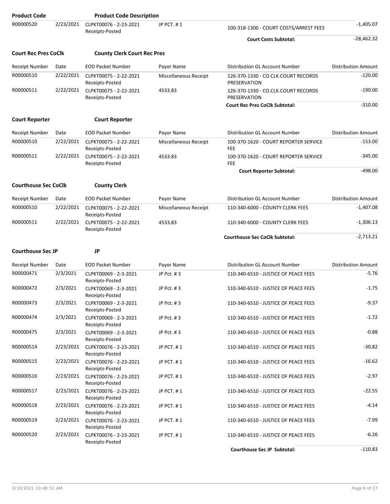| <b>Product Code</b>         |           | <b>Product Code Description</b>                     |                              |                                                     |                            |
|-----------------------------|-----------|-----------------------------------------------------|------------------------------|-----------------------------------------------------|----------------------------|
| R00000520                   | 2/23/2021 | CLPKT00076 - 2-23-2021<br>Receipts-Posted           | JP PCT. #1                   | 100-318-1300 - COURT COSTS/ARREST FEES              | $-1,405.07$                |
|                             |           |                                                     |                              | <b>Court Costs Subtotal:</b>                        | $-28,462.32$               |
| <b>Court Rec Pres CoClk</b> |           | <b>County Clerk Court Rec Pres</b>                  |                              |                                                     |                            |
| <b>Receipt Number</b>       | Date      | <b>EOD Packet Number</b>                            | Payor Name                   | Distribution GL Account Number                      | <b>Distribution Amount</b> |
| R00000510                   | 2/22/2021 | CLPKT00075 - 2-22-2021<br>Receipts-Posted           | Miscellaneous Receipt        | 126-370-1330 - CO.CLK.COURT RECORDS<br>PRESERVATION | $-120.00$                  |
| R00000511                   | 2/22/2021 | CLPKT00075 - 2-22-2021<br>Receipts-Posted           | 4533.83                      | 126-370-1330 - CO.CLK.COURT RECORDS<br>PRESERVATION | $-190.00$                  |
|                             |           |                                                     |                              | <b>Court Rec Pres CoClk Subtotal:</b>               | $-310.00$                  |
| <b>Court Reporter</b>       |           | <b>Court Reporter</b>                               |                              |                                                     |                            |
| Receipt Number              | Date      | <b>EOD Packet Number</b>                            | Payor Name                   | Distribution GL Account Number                      | <b>Distribution Amount</b> |
| R00000510                   | 2/22/2021 | CLPKT00075 - 2-22-2021<br>Receipts-Posted           | Miscellaneous Receipt        | 100-370-1620 - COURT REPORTER SERVICE<br>FEE        | $-153.00$                  |
| R00000511                   | 2/22/2021 | CLPKT00075 - 2-22-2021<br>Receipts-Posted           | 4533.83                      | 100-370-1620 - COURT REPORTER SERVICE<br>FEE        | $-345.00$                  |
|                             |           |                                                     |                              | <b>Court Reporter Subtotal:</b>                     | $-498.00$                  |
| <b>Courthouse Sec CoClk</b> |           | <b>County Clerk</b>                                 |                              |                                                     |                            |
| Receipt Number              | Date      | <b>EOD Packet Number</b>                            | Payor Name                   | Distribution GL Account Number                      | <b>Distribution Amount</b> |
| R00000510                   | 2/22/2021 | CLPKT00075 - 2-22-2021<br>Receipts-Posted           | <b>Miscellaneous Receipt</b> | 110-340-6000 - COUNTY CLERK FEES                    | $-1,407.08$                |
| R00000511                   | 2/22/2021 | CLPKT00075 - 2-22-2021<br>Receipts-Posted           | 4533.83                      | 110-340-6000 - COUNTY CLERK FEES                    | $-1,306.13$                |
|                             |           |                                                     |                              | <b>Courthouse Sec CoClk Subtotal:</b>               | $-2,713.21$                |
| <b>Courthouse Sec JP</b>    |           | <b>JP</b>                                           |                              |                                                     |                            |
| <b>Receipt Number</b>       | Date      | <b>EOD Packet Number</b>                            | Payor Name                   | Distribution GL Account Number                      | <b>Distribution Amount</b> |
| R00000471                   | 2/3/2021  | CLPKT00069 - 2-3-2021<br>Receipts-Posted            | JP Pct. #3                   | 110-340-6510 - JUSTICE OF PEACE FEES                | $-5.76$                    |
| R00000472                   | 2/3/2021  | CLPKT00069 - 2-3-2021<br>Receipts-Posted            | JP Pct. #3                   | 110-340-6510 - JUSTICE OF PEACE FEES                | $-1.75$                    |
| R00000473                   | 2/3/2021  | CLPKT00069 - 2-3-2021<br>Receipts-Posted            | JP Pct. #3                   | 110-340-6510 - JUSTICE OF PEACE FEES                | $-9.37$                    |
| R00000474                   | 2/3/2021  | CLPKT00069 - 2-3-2021<br>Receipts-Posted            | JP Pct. #3                   | 110-340-6510 - JUSTICE OF PEACE FEES                | $-1.72$                    |
| R00000475                   | 2/3/2021  | CLPKT00069 - 2-3-2021<br>Receipts-Posted            | JP Pct. #3                   | 110-340-6510 - JUSTICE OF PEACE FEES                | $-0.88$                    |
| R00000514                   |           | 2/23/2021 CLPKT00076 - 2-23-2021<br>Receipts-Posted | JP PCT. #1                   | 110-340-6510 - JUSTICE OF PEACE FEES                | $-30.82$                   |
| R00000515                   | 2/23/2021 | CLPKT00076 - 2-23-2021<br>Receipts-Posted           | JP PCT. #1                   | 110-340-6510 - JUSTICE OF PEACE FEES                | $-16.62$                   |
| R00000516                   | 2/23/2021 | CLPKT00076 - 2-23-2021<br>Receipts-Posted           | JP PCT. #1                   | 110-340-6510 - JUSTICE OF PEACE FEES                | $-2.97$                    |
| R00000517                   | 2/23/2021 | CLPKT00076 - 2-23-2021<br>Receipts-Posted           | JP PCT. #1                   | 110-340-6510 - JUSTICE OF PEACE FEES                | $-22.55$                   |
| R00000518                   | 2/23/2021 | CLPKT00076 - 2-23-2021<br>Receipts-Posted           | JP PCT. #1                   | 110-340-6510 - JUSTICE OF PEACE FEES                | $-4.14$                    |
| R00000519                   |           | 2/23/2021 CLPKT00076 - 2-23-2021<br>Receipts-Posted | JP PCT. #1                   | 110-340-6510 - JUSTICE OF PEACE FEES                | $-7.99$                    |
| R00000520                   |           | 2/23/2021 CLPKT00076 - 2-23-2021<br>Receipts-Posted | JP PCT. #1                   | 110-340-6510 - JUSTICE OF PEACE FEES                | $-6.26$                    |
|                             |           |                                                     |                              | <b>Courthouse Sec JP Subtotal:</b>                  | $-110.83$                  |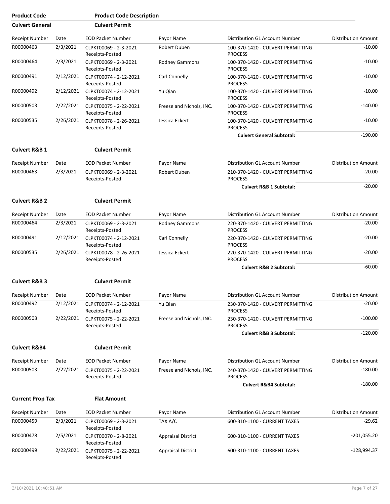| <b>Product Code</b>      |           | <b>Product Code Description</b>                             |                           |                                                     |                            |
|--------------------------|-----------|-------------------------------------------------------------|---------------------------|-----------------------------------------------------|----------------------------|
| <b>Culvert General</b>   |           | <b>Culvert Permit</b>                                       |                           |                                                     |                            |
| Receipt Number           | Date      | <b>EOD Packet Number</b>                                    | Payor Name                | Distribution GL Account Number                      | <b>Distribution Amount</b> |
| R00000463                | 2/3/2021  | CLPKT00069 - 2-3-2021<br>Receipts-Posted                    | Robert Duben              | 100-370-1420 - CULVERT PERMITTING<br><b>PROCESS</b> | $-10.00$                   |
| R00000464                | 2/3/2021  | CLPKT00069 - 2-3-2021<br>Receipts-Posted                    | <b>Rodney Gammons</b>     | 100-370-1420 - CULVERT PERMITTING<br><b>PROCESS</b> | $-10.00$                   |
| R00000491                | 2/12/2021 | CLPKT00074 - 2-12-2021<br>Receipts-Posted                   | Carl Connelly             | 100-370-1420 - CULVERT PERMITTING<br><b>PROCESS</b> | $-10.00$                   |
| R00000492                | 2/12/2021 | CLPKT00074 - 2-12-2021<br>Receipts-Posted                   | Yu Qian                   | 100-370-1420 - CULVERT PERMITTING<br><b>PROCESS</b> | $-10.00$                   |
| R00000503                | 2/22/2021 | CLPKT00075 - 2-22-2021<br>Receipts-Posted                   | Freese and Nichols, INC.  | 100-370-1420 - CULVERT PERMITTING<br><b>PROCESS</b> | $-140.00$                  |
| R00000535                | 2/26/2021 | CLPKT00078 - 2-26-2021<br>Receipts-Posted                   | Jessica Eckert            | 100-370-1420 - CULVERT PERMITTING<br><b>PROCESS</b> | $-10.00$                   |
|                          |           |                                                             |                           | <b>Culvert General Subtotal:</b>                    | $-190.00$                  |
| <b>Culvert R&amp;B 1</b> |           | <b>Culvert Permit</b>                                       |                           |                                                     |                            |
| Receipt Number           | Date      | <b>EOD Packet Number</b>                                    | Payor Name                | Distribution GL Account Number                      | <b>Distribution Amount</b> |
| R00000463                | 2/3/2021  | CLPKT00069 - 2-3-2021<br>Receipts-Posted                    | Robert Duben              | 210-370-1420 - CULVERT PERMITTING<br><b>PROCESS</b> | $-20.00$                   |
|                          |           |                                                             |                           | <b>Culvert R&amp;B 1 Subtotal:</b>                  | $-20.00$                   |
| <b>Culvert R&amp;B 2</b> |           | <b>Culvert Permit</b>                                       |                           |                                                     |                            |
| Receipt Number           | Date      | <b>EOD Packet Number</b>                                    | Payor Name                | <b>Distribution GL Account Number</b>               | <b>Distribution Amount</b> |
| R00000464                | 2/3/2021  | CLPKT00069 - 2-3-2021<br>Receipts-Posted                    | <b>Rodney Gammons</b>     | 220-370-1420 - CULVERT PERMITTING<br><b>PROCESS</b> | $-20.00$                   |
| R00000491                | 2/12/2021 | CLPKT00074 - 2-12-2021<br>Receipts-Posted                   | Carl Connelly             | 220-370-1420 - CULVERT PERMITTING<br><b>PROCESS</b> | $-20.00$                   |
| R00000535                | 2/26/2021 | CLPKT00078 - 2-26-2021<br>Receipts-Posted                   | Jessica Eckert            | 220-370-1420 - CULVERT PERMITTING<br><b>PROCESS</b> | $-20.00$                   |
|                          |           |                                                             |                           | <b>Culvert R&amp;B 2 Subtotal:</b>                  | $-60.00$                   |
| <b>Culvert R&amp;B 3</b> |           | <b>Culvert Permit</b>                                       |                           |                                                     |                            |
| Receipt Number           | Date      | <b>EOD Packet Number</b>                                    | Payor Name                | Distribution GL Account Number                      | <b>Distribution Amount</b> |
| R00000492                | 2/12/2021 | CLPKT00074 - 2-12-2021<br>Receipts-Posted                   | Yu Qian                   | 230-370-1420 - CULVERT PERMITTING<br><b>PROCESS</b> | $-20.00$                   |
| R00000503                | 2/22/2021 | CLPKT00075 - 2-22-2021<br>Receipts-Posted                   | Freese and Nichols, INC.  | 230-370-1420 - CULVERT PERMITTING<br><b>PROCESS</b> | $-100.00$                  |
|                          |           |                                                             |                           | <b>Culvert R&amp;B 3 Subtotal:</b>                  | $-120.00$                  |
| <b>Culvert R&amp;B4</b>  |           | <b>Culvert Permit</b>                                       |                           |                                                     |                            |
| <b>Receipt Number</b>    | Date      | <b>EOD Packet Number</b>                                    | Payor Name                | Distribution GL Account Number                      | <b>Distribution Amount</b> |
| R00000503                | 2/22/2021 | CLPKT00075 - 2-22-2021<br>Receipts-Posted                   | Freese and Nichols, INC.  | 240-370-1420 - CULVERT PERMITTING<br><b>PROCESS</b> | $-180.00$                  |
|                          |           |                                                             |                           | <b>Culvert R&amp;B4 Subtotal:</b>                   | $-180.00$                  |
| <b>Current Prop Tax</b>  |           | <b>Flat Amount</b>                                          |                           |                                                     |                            |
| Receipt Number           | Date      | <b>EOD Packet Number</b>                                    | Payor Name                | Distribution GL Account Number                      | <b>Distribution Amount</b> |
| R00000459                | 2/3/2021  | CLPKT00069 - 2-3-2021                                       | TAX A/C                   | 600-310-1100 - CURRENT TAXES                        | $-29.62$                   |
| R00000478                | 2/5/2021  | Receipts-Posted<br>CLPKT00070 - 2-8-2021<br>Receipts-Posted | <b>Appraisal District</b> | 600-310-1100 - CURRENT TAXES                        | $-201,055.20$              |
| R00000499                | 2/22/2021 | CLPKT00075 - 2-22-2021<br>Receipts-Posted                   | <b>Appraisal District</b> | 600-310-1100 - CURRENT TAXES                        | $-128,994.37$              |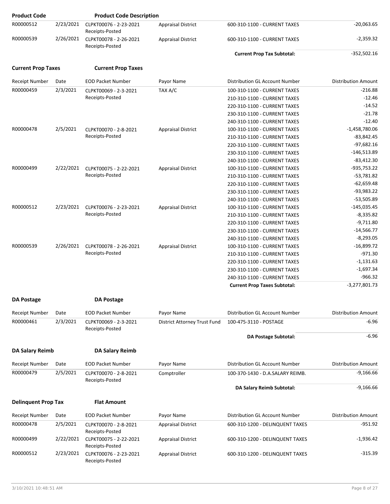| <b>Product Code</b>        |           | <b>Product Code Description</b>           |                              |                                     |                            |
|----------------------------|-----------|-------------------------------------------|------------------------------|-------------------------------------|----------------------------|
| R00000512                  | 2/23/2021 | CLPKT00076 - 2-23-2021<br>Receipts-Posted | <b>Appraisal District</b>    | 600-310-1100 - CURRENT TAXES        | $-20,063.65$               |
| R00000539                  | 2/26/2021 | CLPKT00078 - 2-26-2021<br>Receipts-Posted | <b>Appraisal District</b>    | 600-310-1100 - CURRENT TAXES        | $-2,359.32$                |
|                            |           |                                           |                              | <b>Current Prop Tax Subtotal:</b>   | $-352,502.16$              |
| <b>Current Prop Taxes</b>  |           | <b>Current Prop Taxes</b>                 |                              |                                     |                            |
| Receipt Number             | Date      | <b>EOD Packet Number</b>                  | Payor Name                   | Distribution GL Account Number      | <b>Distribution Amount</b> |
| R00000459                  | 2/3/2021  | CLPKT00069 - 2-3-2021                     | TAX A/C                      | 100-310-1100 - CURRENT TAXES        | $-216.88$                  |
|                            |           | Receipts-Posted                           |                              | 210-310-1100 - CURRENT TAXES        | $-12.46$                   |
|                            |           |                                           |                              | 220-310-1100 - CURRENT TAXES        | $-14.52$                   |
|                            |           |                                           |                              | 230-310-1100 - CURRENT TAXES        | $-21.78$                   |
|                            |           |                                           |                              | 240-310-1100 - CURRENT TAXES        | $-12.40$                   |
| R00000478                  | 2/5/2021  | CLPKT00070 - 2-8-2021                     | <b>Appraisal District</b>    | 100-310-1100 - CURRENT TAXES        | $-1,458,780.06$            |
|                            |           | Receipts-Posted                           |                              | 210-310-1100 - CURRENT TAXES        | $-83,842.45$               |
|                            |           |                                           |                              | 220-310-1100 - CURRENT TAXES        | $-97,682.16$               |
|                            |           |                                           |                              | 230-310-1100 - CURRENT TAXES        | $-146,513.89$              |
|                            |           |                                           |                              | 240-310-1100 - CURRENT TAXES        | $-83,412.30$               |
| R00000499                  | 2/22/2021 | CLPKT00075 - 2-22-2021                    | <b>Appraisal District</b>    | 100-310-1100 - CURRENT TAXES        | $-935,753.22$              |
|                            |           | Receipts-Posted                           |                              | 210-310-1100 - CURRENT TAXES        | $-53,781.82$               |
|                            |           |                                           |                              | 220-310-1100 - CURRENT TAXES        | $-62,659.48$               |
|                            |           |                                           |                              | 230-310-1100 - CURRENT TAXES        | $-93,983.22$               |
|                            |           |                                           |                              | 240-310-1100 - CURRENT TAXES        | $-53,505.89$               |
| R00000512                  | 2/23/2021 | CLPKT00076 - 2-23-2021                    | <b>Appraisal District</b>    | 100-310-1100 - CURRENT TAXES        | $-145,035.45$              |
|                            |           | Receipts-Posted                           |                              | 210-310-1100 - CURRENT TAXES        | $-8,335.82$                |
|                            |           |                                           |                              | 220-310-1100 - CURRENT TAXES        | $-9,711.80$                |
|                            |           |                                           |                              | 230-310-1100 - CURRENT TAXES        | $-14,566.77$               |
|                            |           |                                           |                              | 240-310-1100 - CURRENT TAXES        | $-8,293.05$                |
| R00000539                  | 2/26/2021 | CLPKT00078 - 2-26-2021                    | <b>Appraisal District</b>    | 100-310-1100 - CURRENT TAXES        | $-16,899.72$               |
|                            |           | Receipts-Posted                           |                              | 210-310-1100 - CURRENT TAXES        | $-971.30$                  |
|                            |           |                                           |                              | 220-310-1100 - CURRENT TAXES        | $-1,131.63$                |
|                            |           |                                           |                              | 230-310-1100 - CURRENT TAXES        | $-1,697.34$                |
|                            |           |                                           |                              | 240-310-1100 - CURRENT TAXES        | $-966.32$                  |
|                            |           |                                           |                              | <b>Current Prop Taxes Subtotal:</b> | $-3,277,801.73$            |
| <b>DA Postage</b>          |           | <b>DA Postage</b>                         |                              |                                     |                            |
| <b>Receipt Number</b>      | Date      | <b>EOD Packet Number</b>                  | Payor Name                   | Distribution GL Account Number      | <b>Distribution Amount</b> |
| R00000461                  | 2/3/2021  | CLPKT00069 - 2-3-2021                     | District Attorney Trust Fund | 100-475-3110 - POSTAGE              | $-6.96$                    |
|                            |           | Receipts-Posted                           |                              | DA Postage Subtotal:                | $-6.96$                    |
|                            |           |                                           |                              |                                     |                            |
| <b>DA Salary Reimb</b>     |           | <b>DA Salary Reimb</b>                    |                              |                                     |                            |
| Receipt Number             | Date      | <b>EOD Packet Number</b>                  | Payor Name                   | Distribution GL Account Number      | <b>Distribution Amount</b> |
| R00000479                  | 2/5/2021  | CLPKT00070 - 2-8-2021<br>Receipts-Posted  | Comptroller                  | 100-370-1430 - D.A.SALARY REIMB.    | $-9,166.66$                |
|                            |           |                                           |                              | DA Salary Reimb Subtotal:           | $-9,166.66$                |
| <b>Delinquent Prop Tax</b> |           | <b>Flat Amount</b>                        |                              |                                     |                            |
| Receipt Number             | Date      | <b>EOD Packet Number</b>                  | Payor Name                   | Distribution GL Account Number      | <b>Distribution Amount</b> |
| R00000478                  | 2/5/2021  | CLPKT00070 - 2-8-2021                     | <b>Appraisal District</b>    | 600-310-1200 - DELINQUENT TAXES     | $-951.92$                  |
|                            |           | Receipts-Posted                           |                              |                                     |                            |
| R00000499                  | 2/22/2021 | CLPKT00075 - 2-22-2021<br>Receipts-Posted | <b>Appraisal District</b>    | 600-310-1200 - DELINQUENT TAXES     | $-1,936.42$                |
| R00000512                  | 2/23/2021 | CLPKT00076 - 2-23-2021<br>Receipts-Posted | <b>Appraisal District</b>    | 600-310-1200 - DELINQUENT TAXES     | $-315.39$                  |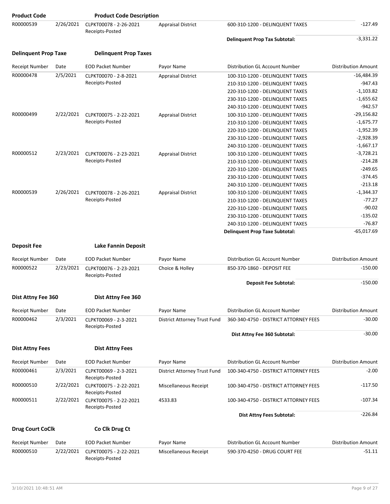| <b>Product Code</b>         |           | <b>Product Code Description</b>           |                              |                                       |                            |
|-----------------------------|-----------|-------------------------------------------|------------------------------|---------------------------------------|----------------------------|
| R00000539                   | 2/26/2021 | CLPKT00078 - 2-26-2021<br>Receipts-Posted | <b>Appraisal District</b>    | 600-310-1200 - DELINQUENT TAXES       | $-127.49$                  |
|                             |           |                                           |                              | <b>Delinquent Prop Tax Subtotal:</b>  | $-3,331.22$                |
| <b>Delinquent Prop Taxe</b> |           | <b>Delinquent Prop Taxes</b>              |                              |                                       |                            |
| <b>Receipt Number</b>       | Date      | <b>EOD Packet Number</b>                  | Payor Name                   | Distribution GL Account Number        | <b>Distribution Amount</b> |
| R00000478                   | 2/5/2021  | CLPKT00070 - 2-8-2021                     | <b>Appraisal District</b>    | 100-310-1200 - DELINQUENT TAXES       | $-16,484.39$               |
|                             |           | Receipts-Posted                           |                              | 210-310-1200 - DELINQUENT TAXES       | $-947.43$                  |
|                             |           |                                           |                              | 220-310-1200 - DELINQUENT TAXES       | $-1,103.82$                |
|                             |           |                                           |                              | 230-310-1200 - DELINQUENT TAXES       | $-1,655.62$                |
|                             |           |                                           |                              | 240-310-1200 - DELINQUENT TAXES       | $-942.57$                  |
| R00000499                   | 2/22/2021 | CLPKT00075 - 2-22-2021                    | <b>Appraisal District</b>    | 100-310-1200 - DELINQUENT TAXES       | $-29,156.82$               |
|                             |           | Receipts-Posted                           |                              | 210-310-1200 - DELINQUENT TAXES       | $-1,675.77$                |
|                             |           |                                           |                              | 220-310-1200 - DELINQUENT TAXES       | $-1,952.39$                |
|                             |           |                                           |                              | 230-310-1200 - DELINQUENT TAXES       | $-2,928.39$                |
|                             |           |                                           |                              | 240-310-1200 - DELINQUENT TAXES       | $-1,667.17$                |
| R00000512                   | 2/23/2021 | CLPKT00076 - 2-23-2021                    | <b>Appraisal District</b>    | 100-310-1200 - DELINQUENT TAXES       | $-3,728.21$                |
|                             |           | Receipts-Posted                           |                              | 210-310-1200 - DELINQUENT TAXES       | $-214.28$                  |
|                             |           |                                           |                              | 220-310-1200 - DELINQUENT TAXES       | $-249.65$                  |
|                             |           |                                           |                              | 230-310-1200 - DELINQUENT TAXES       | $-374.45$                  |
|                             |           |                                           |                              | 240-310-1200 - DELINQUENT TAXES       | $-213.18$                  |
| R00000539                   | 2/26/2021 | CLPKT00078 - 2-26-2021                    | <b>Appraisal District</b>    | 100-310-1200 - DELINQUENT TAXES       | $-1,344.37$                |
|                             |           | Receipts-Posted                           |                              | 210-310-1200 - DELINQUENT TAXES       | $-77.27$                   |
|                             |           |                                           |                              | 220-310-1200 - DELINQUENT TAXES       | $-90.02$                   |
|                             |           |                                           |                              | 230-310-1200 - DELINQUENT TAXES       | $-135.02$                  |
|                             |           |                                           |                              | 240-310-1200 - DELINQUENT TAXES       | $-76.87$                   |
|                             |           |                                           |                              | <b>Delinquent Prop Taxe Subtotal:</b> | $-65,017.69$               |
| <b>Deposit Fee</b>          |           | <b>Lake Fannin Deposit</b>                |                              |                                       |                            |
| Receipt Number              | Date      | <b>EOD Packet Number</b>                  | Payor Name                   | Distribution GL Account Number        | <b>Distribution Amount</b> |
| R00000522                   | 2/23/2021 | CLPKT00076 - 2-23-2021                    | Choice & Holley              | 850-370-1860 - DEPOSIT FEE            | $-150.00$                  |
|                             |           | Receipts-Posted                           |                              | <b>Deposit Fee Subtotal:</b>          | $-150.00$                  |
|                             |           |                                           |                              |                                       |                            |
| Dist Attny Fee 360          |           | Dist Attny Fee 360                        |                              |                                       |                            |
| Receipt Number              | Date      | <b>EOD Packet Number</b>                  | Payor Name                   | Distribution GL Account Number        | <b>Distribution Amount</b> |
| R00000462                   | 2/3/2021  | CLPKT00069 - 2-3-2021<br>Receipts-Posted  | District Attorney Trust Fund | 360-340-4750 - DISTRICT ATTORNEY FEES | $-30.00$                   |
|                             |           |                                           |                              | Dist Attny Fee 360 Subtotal:          | $-30.00$                   |
| <b>Dist Attny Fees</b>      |           | <b>Dist Attny Fees</b>                    |                              |                                       |                            |
| <b>Receipt Number</b>       | Date      | <b>EOD Packet Number</b>                  | Payor Name                   | <b>Distribution GL Account Number</b> | <b>Distribution Amount</b> |
| R00000461                   | 2/3/2021  | CLPKT00069 - 2-3-2021                     | District Attorney Trust Fund | 100-340-4750 - DISTRICT ATTORNEY FEES | $-2.00$                    |
| R00000510                   | 2/22/2021 | Receipts-Posted<br>CLPKT00075 - 2-22-2021 | Miscellaneous Receipt        | 100-340-4750 - DISTRICT ATTORNEY FEES | $-117.50$                  |
| R00000511                   | 2/22/2021 | Receipts-Posted<br>CLPKT00075 - 2-22-2021 | 4533.83                      | 100-340-4750 - DISTRICT ATTORNEY FEES | $-107.34$                  |
|                             |           | Receipts-Posted                           |                              | <b>Dist Attny Fees Subtotal:</b>      | $-226.84$                  |
|                             |           |                                           |                              |                                       |                            |
| <b>Drug Court CoClk</b>     |           | Co Clk Drug Ct                            |                              |                                       |                            |
| <b>Receipt Number</b>       | Date      | <b>EOD Packet Number</b>                  | Payor Name                   | Distribution GL Account Number        | <b>Distribution Amount</b> |
| R00000510                   | 2/22/2021 | CLPKT00075 - 2-22-2021<br>Receipts-Posted | Miscellaneous Receipt        | 590-370-4250 - DRUG COURT FEE         | $-51.11$                   |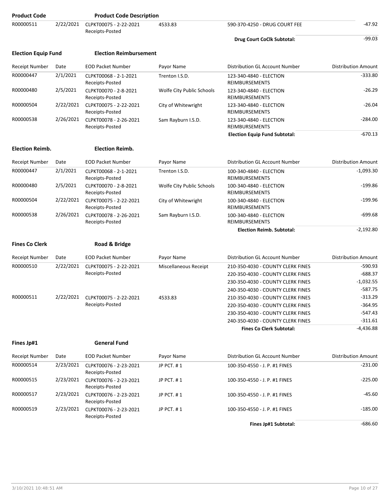| <b>Product Code</b>        |           | <b>Product Code Description</b>           |                           |                                                  |                            |
|----------------------------|-----------|-------------------------------------------|---------------------------|--------------------------------------------------|----------------------------|
| R00000511                  | 2/22/2021 | CLPKT00075 - 2-22-2021<br>Receipts-Posted | 4533.83                   | 590-370-4250 - DRUG COURT FEE                    | $-47.92$                   |
|                            |           |                                           |                           | Drug Court CoClk Subtotal:                       | $-99.03$                   |
| <b>Election Equip Fund</b> |           | <b>Election Reimbursement</b>             |                           |                                                  |                            |
| <b>Receipt Number</b>      | Date      | <b>EOD Packet Number</b>                  | Payor Name                | Distribution GL Account Number                   | <b>Distribution Amount</b> |
| R00000447                  | 2/1/2021  | CLPKT00068 - 2-1-2021<br>Receipts-Posted  | Trenton I.S.D.            | 123-340-4840 - ELECTION<br>REIMBURSEMENTS        | $-333.80$                  |
| R00000480                  | 2/5/2021  | CLPKT00070 - 2-8-2021<br>Receipts-Posted  | Wolfe City Public Schools | 123-340-4840 - ELECTION<br>REIMBURSEMENTS        | $-26.29$                   |
| R00000504                  | 2/22/2021 | CLPKT00075 - 2-22-2021<br>Receipts-Posted | City of Whitewright       | 123-340-4840 - ELECTION<br>REIMBURSEMENTS        | $-26.04$                   |
| R00000538                  | 2/26/2021 | CLPKT00078 - 2-26-2021<br>Receipts-Posted | Sam Rayburn I.S.D.        | 123-340-4840 - ELECTION<br>REIMBURSEMENTS        | $-284.00$                  |
|                            |           |                                           |                           | <b>Election Equip Fund Subtotal:</b>             | $-670.13$                  |
| <b>Election Reimb.</b>     |           | <b>Election Reimb.</b>                    |                           |                                                  |                            |
| <b>Receipt Number</b>      | Date      | <b>EOD Packet Number</b>                  | Payor Name                | Distribution GL Account Number                   | <b>Distribution Amount</b> |
| R00000447                  | 2/1/2021  | CLPKT00068 - 2-1-2021<br>Receipts-Posted  | Trenton I.S.D.            | 100-340-4840 - ELECTION<br>REIMBURSEMENTS        | $-1,093.30$                |
| R00000480                  | 2/5/2021  | CLPKT00070 - 2-8-2021<br>Receipts-Posted  | Wolfe City Public Schools | 100-340-4840 - ELECTION<br>REIMBURSEMENTS        | $-199.86$                  |
| R00000504                  | 2/22/2021 | CLPKT00075 - 2-22-2021<br>Receipts-Posted | City of Whitewright       | 100-340-4840 - ELECTION<br>REIMBURSEMENTS        | $-199.96$                  |
| R00000538                  | 2/26/2021 | CLPKT00078 - 2-26-2021<br>Receipts-Posted | Sam Rayburn I.S.D.        | 100-340-4840 - ELECTION<br><b>REIMBURSEMENTS</b> | $-699.68$                  |
|                            |           |                                           |                           | <b>Election Reimb. Subtotal:</b>                 | $-2,192.80$                |
| <b>Fines Co Clerk</b>      |           | Road & Bridge                             |                           |                                                  |                            |
| <b>Receipt Number</b>      | Date      | <b>EOD Packet Number</b>                  | Payor Name                | Distribution GL Account Number                   | <b>Distribution Amount</b> |
| R00000510                  | 2/22/2021 | CLPKT00075 - 2-22-2021                    | Miscellaneous Receipt     | 210-350-4030 - COUNTY CLERK FINES                | $-590.93$                  |
|                            |           | Receipts-Posted                           |                           | 220-350-4030 - COUNTY CLERK FINES                | $-688.37$                  |
|                            |           |                                           |                           | 230-350-4030 - COUNTY CLERK FINES                | $-1,032.55$                |
|                            |           |                                           |                           | 240-350-4030 - COUNTY CLERK FINES                | $-587.75$                  |
| R00000511                  |           | 2/22/2021 CLPKT00075 - 2-22-2021          | 4533.83                   | 210-350-4030 - COUNTY CLERK FINES                | $-313.29$                  |
|                            |           | Receipts-Posted                           |                           | 220-350-4030 - COUNTY CLERK FINES                | $-364.95$                  |
|                            |           |                                           |                           | 230-350-4030 - COUNTY CLERK FINES                | -547.43                    |
|                            |           |                                           |                           | 240-350-4030 - COUNTY CLERK FINES                | $-311.61$                  |
|                            |           |                                           |                           | <b>Fines Co Clerk Subtotal:</b>                  | -4,436.88                  |
| Fines Jp#1                 |           | <b>General Fund</b>                       |                           |                                                  |                            |
| <b>Receipt Number</b>      | Date      | <b>EOD Packet Number</b>                  | Payor Name                | Distribution GL Account Number                   | <b>Distribution Amount</b> |
| R00000514                  | 2/23/2021 | CLPKT00076 - 2-23-2021<br>Receipts-Posted | JP PCT. #1                | 100-350-4550 - J. P. #1 FINES                    | $-231.00$                  |
| R00000515                  | 2/23/2021 | CLPKT00076 - 2-23-2021<br>Receipts-Posted | JP PCT. #1                | 100-350-4550 - J. P. #1 FINES                    | $-225.00$                  |
| R00000517                  | 2/23/2021 | CLPKT00076 - 2-23-2021<br>Receipts-Posted | JP PCT. #1                | 100-350-4550 - J. P. #1 FINES                    | -45.60                     |
| R00000519                  | 2/23/2021 | CLPKT00076 - 2-23-2021<br>Receipts-Posted | JP PCT. #1                | 100-350-4550 - J. P. #1 FINES                    | $-185.00$                  |
|                            |           |                                           |                           | Fines Jp#1 Subtotal:                             | $-686.60$                  |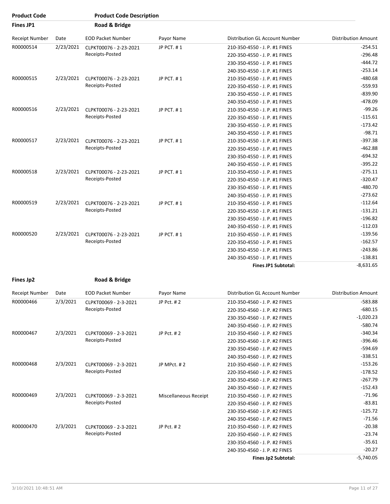| <b>Product Code</b> |           | <b>Product Code Description</b> |            |                                       |                            |
|---------------------|-----------|---------------------------------|------------|---------------------------------------|----------------------------|
| <b>Fines JP1</b>    |           | Road & Bridge                   |            |                                       |                            |
| Receipt Number      | Date      | <b>EOD Packet Number</b>        | Payor Name | <b>Distribution GL Account Number</b> | <b>Distribution Amount</b> |
| R00000514           | 2/23/2021 | CLPKT00076 - 2-23-2021          | JP PCT. #1 | 210-350-4550 - J. P. #1 FINES         | $-254.51$                  |
|                     |           | Receipts-Posted                 |            | 220-350-4550 - J. P. #1 FINES         | $-296.48$                  |
|                     |           |                                 |            | 230-350-4550 - J. P. #1 FINES         | $-444.72$                  |
|                     |           |                                 |            | 240-350-4550 - J. P. #1 FINES         | $-253.14$                  |
| R00000515           | 2/23/2021 | CLPKT00076 - 2-23-2021          | JP PCT. #1 | 210-350-4550 - J. P. #1 FINES         | $-480.68$                  |
|                     |           | Receipts-Posted                 |            | 220-350-4550 - J. P. #1 FINES         | $-559.93$                  |
|                     |           |                                 |            | 230-350-4550 - J. P. #1 FINES         | $-839.90$                  |
|                     |           |                                 |            | 240-350-4550 - J. P. #1 FINES         | $-478.09$                  |
| R00000516           | 2/23/2021 | CLPKT00076 - 2-23-2021          | JP PCT. #1 | 210-350-4550 - J. P. #1 FINES         | $-99.26$                   |
|                     |           | Receipts-Posted                 |            | 220-350-4550 - J. P. #1 FINES         | $-115.61$                  |
|                     |           |                                 |            | 230-350-4550 - J. P. #1 FINES         | $-173.42$                  |
|                     |           |                                 |            | 240-350-4550 - J. P. #1 FINES         | $-98.71$                   |
| R00000517           | 2/23/2021 | CLPKT00076 - 2-23-2021          | JP PCT. #1 | 210-350-4550 - J. P. #1 FINES         | $-397.38$                  |
|                     |           | Receipts-Posted                 |            | 220-350-4550 - J. P. #1 FINES         | $-462.88$                  |
|                     |           |                                 |            | 230-350-4550 - J. P. #1 FINES         | $-694.32$                  |
|                     |           |                                 |            | 240-350-4550 - J. P. #1 FINES         | $-395.22$                  |
| R00000518           | 2/23/2021 | CLPKT00076 - 2-23-2021          | JP PCT. #1 | 210-350-4550 - J. P. #1 FINES         | $-275.11$                  |
|                     |           | Receipts-Posted                 |            | 220-350-4550 - J. P. #1 FINES         | $-320.47$                  |
|                     |           |                                 |            | 230-350-4550 - J. P. #1 FINES         | $-480.70$                  |
|                     |           |                                 |            | 240-350-4550 - J. P. #1 FINES         | $-273.62$                  |
| R00000519           | 2/23/2021 | CLPKT00076 - 2-23-2021          | JP PCT. #1 | 210-350-4550 - J. P. #1 FINES         | $-112.64$                  |
|                     |           | Receipts-Posted                 |            | 220-350-4550 - J. P. #1 FINES         | $-131.21$                  |
|                     |           |                                 |            | 230-350-4550 - J. P. #1 FINES         | $-196.82$                  |
|                     |           |                                 |            | 240-350-4550 - J. P. #1 FINES         | $-112.03$                  |
| R00000520           | 2/23/2021 | CLPKT00076 - 2-23-2021          | JP PCT. #1 | 210-350-4550 - J. P. #1 FINES         | $-139.56$                  |
|                     |           | Receipts-Posted                 |            | 220-350-4550 - J. P. #1 FINES         | $-162.57$                  |
|                     |           |                                 |            | 230-350-4550 - J. P. #1 FINES         | $-243.86$                  |
|                     |           |                                 |            | 240-350-4550 - J. P. #1 FINES         | $-138.81$                  |
|                     |           |                                 |            | <b>Fines JP1 Subtotal:</b>            | $-8,631.65$                |

```
Fines Jp2 Road & Bridge
```

| Receipt Number | Date     | <b>EOD Packet Number</b>                 | Payor Name            | Distribution GL Account Number | <b>Distribution Amount</b> |
|----------------|----------|------------------------------------------|-----------------------|--------------------------------|----------------------------|
| R00000466      | 2/3/2021 | CLPKT00069 - 2-3-2021                    | JP Pct. #2            | 210-350-4560 - J. P. #2 FINES  | $-583.88$                  |
|                |          | Receipts-Posted                          |                       | 220-350-4560 - J. P. #2 FINES  | $-680.15$                  |
|                |          |                                          |                       | 230-350-4560 - J. P. #2 FINES  | $-1,020.23$                |
|                |          |                                          |                       | 240-350-4560 - J. P. #2 FINES  | $-580.74$                  |
| R00000467      | 2/3/2021 | CLPKT00069 - 2-3-2021                    | JP Pct. #2            | 210-350-4560 - J. P. #2 FINES  | $-340.34$                  |
|                |          | Receipts-Posted                          |                       | 220-350-4560 - J. P. #2 FINES  | $-396.46$                  |
|                |          |                                          |                       | 230-350-4560 - J. P. #2 FINES  | $-594.69$                  |
|                |          |                                          |                       | 240-350-4560 - J. P. #2 FINES  | $-338.51$                  |
| R00000468      | 2/3/2021 | CLPKT00069 - 2-3-2021<br>Receipts-Posted | JP MPct. #2           | 210-350-4560 - J. P. #2 FINES  | $-153.26$                  |
|                |          |                                          |                       | 220-350-4560 - J. P. #2 FINES  | $-178.52$                  |
|                |          |                                          |                       | 230-350-4560 - J. P. #2 FINES  | $-267.79$                  |
|                |          |                                          |                       | 240-350-4560 - J. P. #2 FINES  | $-152.43$                  |
| R00000469      | 2/3/2021 | CLPKT00069 - 2-3-2021                    | Miscellaneous Receipt | 210-350-4560 - J. P. #2 FINES  | $-71.96$                   |
|                |          | Receipts-Posted                          |                       | 220-350-4560 - J. P. #2 FINES  | $-83.81$                   |
|                |          |                                          |                       | 230-350-4560 - J. P. #2 FINES  | $-125.72$                  |
|                |          |                                          |                       | 240-350-4560 - J. P. #2 FINES  | $-71.56$                   |
| R00000470      | 2/3/2021 | CLPKT00069 - 2-3-2021                    | JP Pct. #2            | 210-350-4560 - J. P. #2 FINES  | $-20.38$                   |
|                |          | Receipts-Posted                          |                       | 220-350-4560 - J. P. #2 FINES  | $-23.74$                   |
|                |          |                                          |                       | 230-350-4560 - J. P. #2 FINES  | $-35.61$                   |
|                |          |                                          |                       | 240-350-4560 - J. P. #2 FINES  | $-20.27$                   |
|                |          |                                          |                       | Fines Jp2 Subtotal:            | $-5,740.05$                |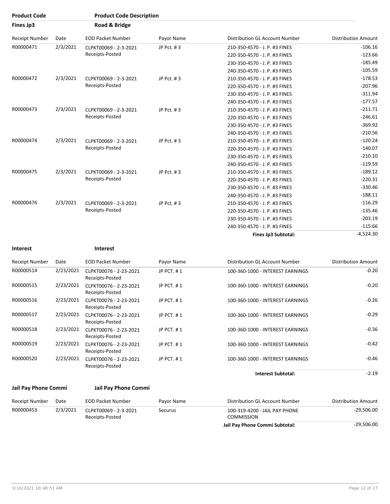| <b>Product Code</b>   |                              | <b>Product Code Description</b>             |              |                                  |                               |           |
|-----------------------|------------------------------|---------------------------------------------|--------------|----------------------------------|-------------------------------|-----------|
| Fines Jp3             |                              | Road & Bridge                               |              |                                  |                               |           |
| <b>Receipt Number</b> | Date                         | <b>EOD Packet Number</b>                    | Payor Name   | Distribution GL Account Number   | <b>Distribution Amount</b>    |           |
| R00000471             | 2/3/2021                     | CLPKT00069 - 2-3-2021                       | JP Pct. #3   | 210-350-4570 - J. P. #3 FINES    | $-106.16$                     |           |
|                       |                              | Receipts-Posted                             |              | 220-350-4570 - J. P. #3 FINES    | $-123.66$                     |           |
|                       |                              |                                             |              | 230-350-4570 - J. P. #3 FINES    | $-185.49$                     |           |
|                       |                              |                                             |              | 240-350-4570 - J. P. #3 FINES    | $-105.59$                     |           |
| R00000472             | 2/3/2021                     | CLPKT00069 - 2-3-2021                       | JP Pct. #3   | 210-350-4570 - J. P. #3 FINES    | $-178.53$                     |           |
|                       |                              | Receipts-Posted                             |              | 220-350-4570 - J. P. #3 FINES    | $-207.96$                     |           |
|                       |                              |                                             |              | 230-350-4570 - J. P. #3 FINES    | $-311.94$                     |           |
|                       |                              |                                             |              | 240-350-4570 - J. P. #3 FINES    | $-177.57$                     |           |
| R00000473             | 2/3/2021                     | CLPKT00069 - 2-3-2021                       | JP Pct. #3   | 210-350-4570 - J. P. #3 FINES    | $-211.71$                     |           |
|                       |                              | Receipts-Posted                             |              | 220-350-4570 - J. P. #3 FINES    | $-246.61$                     |           |
|                       |                              |                                             |              | 230-350-4570 - J. P. #3 FINES    | $-369.92$                     |           |
|                       |                              |                                             |              | 240-350-4570 - J. P. #3 FINES    | $-210.56$                     |           |
| R00000474             | 2/3/2021                     | CLPKT00069 - 2-3-2021<br>Receipts-Posted    | JP Pct. #3   |                                  | 210-350-4570 - J. P. #3 FINES | $-120.24$ |
|                       |                              |                                             |              | 220-350-4570 - J. P. #3 FINES    | $-140.07$                     |           |
|                       |                              |                                             |              | 230-350-4570 - J. P. #3 FINES    | $-210.10$                     |           |
|                       |                              |                                             |              | 240-350-4570 - J. P. #3 FINES    | $-119.59$                     |           |
| R00000475             | 2/3/2021                     | CLPKT00069 - 2-3-2021                       | JP Pct. #3   | 210-350-4570 - J. P. #3 FINES    | $-189.12$                     |           |
|                       |                              | Receipts-Posted                             |              | 220-350-4570 - J. P. #3 FINES    | $-220.31$                     |           |
|                       |                              |                                             |              | 230-350-4570 - J. P. #3 FINES    | $-330.46$                     |           |
|                       |                              |                                             |              | 240-350-4570 - J. P. #3 FINES    | $-188.11$                     |           |
| R00000476             | 2/3/2021                     | CLPKT00069 - 2-3-2021                       | JP Pct. #3   | 210-350-4570 - J. P. #3 FINES    | $-116.29$                     |           |
|                       |                              | Receipts-Posted                             |              | 220-350-4570 - J. P. #3 FINES    | $-135.46$                     |           |
|                       |                              |                                             |              | 230-350-4570 - J. P. #3 FINES    | $-203.19$                     |           |
|                       |                              |                                             |              | 240-350-4570 - J. P. #3 FINES    | $-115.66$                     |           |
|                       |                              |                                             |              | Fines Jp3 Subtotal:              | $-4,524.30$                   |           |
| <b>Interest</b>       |                              | <b>Interest</b>                             |              |                                  |                               |           |
| <b>Receipt Number</b> | Date                         | <b>EOD Packet Number</b>                    | Payor Name   | Distribution GL Account Number   | <b>Distribution Amount</b>    |           |
| R00000514             | 2/23/2021                    | CLPKT00076 - 2-23-2021<br>Receipts-Posted   | JP PCT. #1   | 100-360-1000 - INTEREST EARNINGS | $-0.20$                       |           |
| R00000515             | 2/23/2021                    | CLPKT00076 - 2-23-2021<br>Receipts-Posted   | JP PCT. #1   | 100-360-1000 - INTEREST EARNINGS | $-0.20$                       |           |
| R00000516             | 2/23/2021                    | CLPKT00076 - 2-23-2021<br>Receipts-Posted   | JP PCT. #1   | 100-360-1000 - INTEREST EARNINGS | $-0.26$                       |           |
| R00000517             | 2/23/2021                    | CLPKT00076 - 2-23-2021<br>Receipts-Posted   | JP PCT. #1   | 100-360-1000 - INTEREST EARNINGS | $-0.29$                       |           |
| <b>ROOOOO518</b>      | ว <i>1</i> วว <i>1</i> วกว่า | $C1$ $DIV$ T $0$ $0$ $0$ $C$ $2C$ $2Q$ $2Q$ | ID DCT $# 1$ | 100 260 1000 INTEDECT EADMINGS   | $-0.36$                       |           |

| R00000514 | 2/23/2021 | CLPKT00076 - 2-23-2021<br>Receipts-Posted | JP PCT. #1 | 100-360-1000 - INTEREST EARNINGS | $-0.20$ |
|-----------|-----------|-------------------------------------------|------------|----------------------------------|---------|
| R00000515 | 2/23/2021 | CLPKT00076 - 2-23-2021<br>Receipts-Posted | JP PCT. #1 | 100-360-1000 - INTEREST EARNINGS | $-0.20$ |
| R00000516 | 2/23/2021 | CLPKT00076 - 2-23-2021<br>Receipts-Posted | JP PCT. #1 | 100-360-1000 - INTEREST EARNINGS | $-0.26$ |
| R00000517 | 2/23/2021 | CLPKT00076 - 2-23-2021<br>Receipts-Posted | JP PCT, #1 | 100-360-1000 - INTEREST EARNINGS | $-0.29$ |
| R00000518 | 2/23/2021 | CLPKT00076 - 2-23-2021<br>Receipts-Posted | JP PCT. #1 | 100-360-1000 - INTEREST EARNINGS | $-0.36$ |
| R00000519 | 2/23/2021 | CLPKT00076 - 2-23-2021<br>Receipts-Posted | JP PCT, #1 | 100-360-1000 - INTEREST EARNINGS | $-0.42$ |
| R00000520 | 2/23/2021 | CLPKT00076 - 2-23-2021<br>Receipts-Posted | JP PCT, #1 | 100-360-1000 - INTEREST EARNINGS | $-0.46$ |
|           |           |                                           |            | <b>Interest Subtotal:</b>        | $-2.19$ |

### **Jail Pay Phone Commi Jail Pay Phone Commi**

| Receipt Number | Date     | EOD Packet Number                                   | Pavor Name | Distribution GL Account Number                     | Distribution Amount |
|----------------|----------|-----------------------------------------------------|------------|----------------------------------------------------|---------------------|
| R00000453      | 2/3/2021 | CLPKT00069 - 2-3-2021<br>Securus<br>Receipts-Posted |            | 100-319-4200 - JAIL PAY PHONE<br><b>COMMISSION</b> | $-29,506.00$        |
|                |          |                                                     |            | Jail Pay Phone Commi Subtotal:                     | $-29,506.00$        |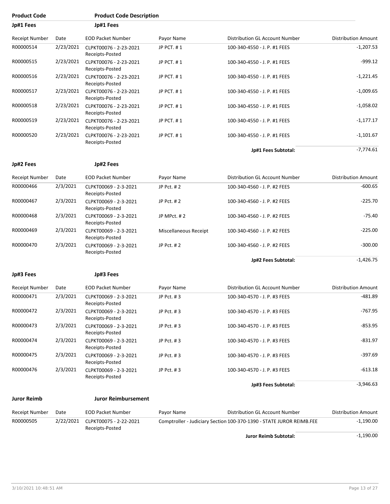| <b>Product Code</b> |           | <b>Product Code Description</b>           |                       |                                                                      |                            |
|---------------------|-----------|-------------------------------------------|-----------------------|----------------------------------------------------------------------|----------------------------|
| Jp#1 Fees           |           | Jp#1 Fees                                 |                       |                                                                      |                            |
| Receipt Number      | Date      | <b>EOD Packet Number</b>                  | Payor Name            | Distribution GL Account Number                                       | <b>Distribution Amount</b> |
| R00000514           | 2/23/2021 | CLPKT00076 - 2-23-2021<br>Receipts-Posted | JP PCT. #1            | 100-340-4550 - J. P. #1 FEES                                         | $-1,207.53$                |
| R00000515           | 2/23/2021 | CLPKT00076 - 2-23-2021<br>Receipts-Posted | JP PCT. #1            | 100-340-4550 - J. P. #1 FEES                                         | $-999.12$                  |
| R00000516           | 2/23/2021 | CLPKT00076 - 2-23-2021<br>Receipts-Posted | JP PCT. #1            | 100-340-4550 - J. P. #1 FEES                                         | $-1,221.45$                |
| R00000517           | 2/23/2021 | CLPKT00076 - 2-23-2021<br>Receipts-Posted | JP PCT. #1            | 100-340-4550 - J. P. #1 FEES                                         | $-1,009.65$                |
| R00000518           | 2/23/2021 | CLPKT00076 - 2-23-2021<br>Receipts-Posted | JP PCT. #1            | 100-340-4550 - J. P. #1 FEES                                         | $-1,058.02$                |
| R00000519           | 2/23/2021 | CLPKT00076 - 2-23-2021<br>Receipts-Posted | JP PCT. #1            | 100-340-4550 - J. P. #1 FEES                                         | $-1,177.17$                |
| R00000520           | 2/23/2021 | CLPKT00076 - 2-23-2021<br>Receipts-Posted | JP PCT. #1            | 100-340-4550 - J. P. #1 FEES                                         | $-1,101.67$                |
|                     |           |                                           |                       | Jp#1 Fees Subtotal:                                                  | $-7,774.61$                |
| Jp#2 Fees           |           | Jp#2 Fees                                 |                       |                                                                      |                            |
| Receipt Number      | Date      | <b>EOD Packet Number</b>                  | Payor Name            | Distribution GL Account Number                                       | <b>Distribution Amount</b> |
| R00000466           | 2/3/2021  | CLPKT00069 - 2-3-2021<br>Receipts-Posted  | JP Pct. #2            | 100-340-4560 - J. P. #2 FEES                                         | $-600.65$                  |
| R00000467           | 2/3/2021  | CLPKT00069 - 2-3-2021<br>Receipts-Posted  | JP Pct. #2            | 100-340-4560 - J. P. #2 FEES                                         | $-225.70$                  |
| R00000468           | 2/3/2021  | CLPKT00069 - 2-3-2021<br>Receipts-Posted  | JP MPct. #2           | 100-340-4560 - J. P. #2 FEES                                         | $-75.40$                   |
| R00000469           | 2/3/2021  | CLPKT00069 - 2-3-2021<br>Receipts-Posted  | Miscellaneous Receipt | 100-340-4560 - J. P. #2 FEES                                         | $-225.00$                  |
| R00000470           | 2/3/2021  | CLPKT00069 - 2-3-2021<br>Receipts-Posted  | JP Pct. #2            | 100-340-4560 - J. P. #2 FEES                                         | $-300.00$                  |
|                     |           |                                           |                       | Jp#2 Fees Subtotal:                                                  | $-1,426.75$                |
| Jp#3 Fees           |           | Jp#3 Fees                                 |                       |                                                                      |                            |
| Receipt Number      | Date      | <b>EOD Packet Number</b>                  | Payor Name            | Distribution GL Account Number                                       | <b>Distribution Amount</b> |
| R00000471           | 2/3/2021  | CLPKT00069 - 2-3-2021<br>Receipts-Posted  | JP Pct. #3            | 100-340-4570 - J. P. #3 FEES                                         | -481.89                    |
| R00000472           | 2/3/2021  | CLPKT00069 - 2-3-2021<br>Receipts-Posted  | JP Pct. #3            | 100-340-4570 - J. P. #3 FEES                                         | -767.95                    |
| R00000473           | 2/3/2021  | CLPKT00069 - 2-3-2021<br>Receipts-Posted  | JP Pct. #3            | 100-340-4570 - J. P. #3 FEES                                         | $-853.95$                  |
| R00000474           | 2/3/2021  | CLPKT00069 - 2-3-2021<br>Receipts-Posted  | JP Pct. #3            | 100-340-4570 - J. P. #3 FEES                                         | $-831.97$                  |
| R00000475           | 2/3/2021  | CLPKT00069 - 2-3-2021<br>Receipts-Posted  | JP Pct. #3            | 100-340-4570 - J. P. #3 FEES                                         | $-397.69$                  |
| R00000476           | 2/3/2021  | CLPKT00069 - 2-3-2021<br>Receipts-Posted  | JP Pct. #3            | 100-340-4570 - J. P. #3 FEES                                         | $-613.18$                  |
|                     |           |                                           |                       | Jp#3 Fees Subtotal:                                                  | $-3,946.63$                |
| <b>Juror Reimb</b>  |           | <b>Juror Reimbursement</b>                |                       |                                                                      |                            |
| Receipt Number      | Date      | EOD Packet Number                         | Payor Name            | Distribution GL Account Number                                       | <b>Distribution Amount</b> |
| R00000505           | 2/22/2021 | CLPKT00075 - 2-22-2021<br>Receipts-Posted |                       | Comptroller - Judiciary Section 100-370-1390 - STATE JUROR REIMB.FEE | $-1,190.00$                |
|                     |           |                                           |                       | Juror Reimb Subtotal:                                                | $-1,190.00$                |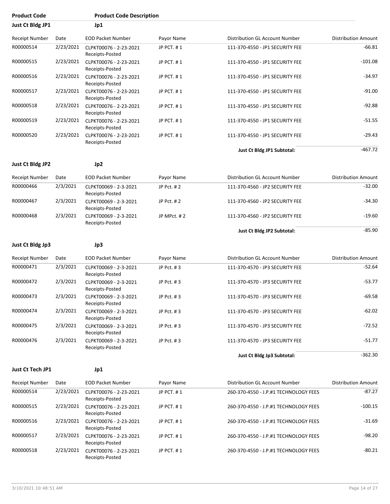| <b>Product Code</b>   |           | <b>Product Code Description</b>                     |             |                                       |                            |
|-----------------------|-----------|-----------------------------------------------------|-------------|---------------------------------------|----------------------------|
| Just Ct Bldg JP1      |           | Jp1                                                 |             |                                       |                            |
| Receipt Number        | Date      | <b>EOD Packet Number</b>                            | Payor Name  | Distribution GL Account Number        | <b>Distribution Amount</b> |
| R00000514             | 2/23/2021 | CLPKT00076 - 2-23-2021<br>Receipts-Posted           | JP PCT, #1  | 111-370-4550 - JP1 SECURITY FEE       | $-66.81$                   |
| R00000515             |           | 2/23/2021 CLPKT00076 - 2-23-2021<br>Receipts-Posted | JP PCT. #1  | 111-370-4550 - JP1 SECURITY FEE       | $-101.08$                  |
| R00000516             | 2/23/2021 | CLPKT00076 - 2-23-2021<br>Receipts-Posted           | JP PCT. #1  | 111-370-4550 - JP1 SECURITY FEE       | $-34.97$                   |
| R00000517             | 2/23/2021 | CLPKT00076 - 2-23-2021<br>Receipts-Posted           | JP PCT. #1  | 111-370-4550 - JP1 SECURITY FEE       | $-91.00$                   |
| R00000518             | 2/23/2021 | CLPKT00076 - 2-23-2021<br>Receipts-Posted           | JP PCT. #1  | 111-370-4550 - JP1 SECURITY FEE       | $-92.88$                   |
| R00000519             | 2/23/2021 | CLPKT00076 - 2-23-2021<br>Receipts-Posted           | JP PCT. #1  | 111-370-4550 - JP1 SECURITY FEE       | $-51.55$                   |
| R00000520             | 2/23/2021 | CLPKT00076 - 2-23-2021<br>Receipts-Posted           | JP PCT. #1  | 111-370-4550 - JP1 SECURITY FEE       | $-29.43$                   |
|                       |           |                                                     |             | Just Ct Bldg JP1 Subtotal:            | $-467.72$                  |
| Just Ct Bldg JP2      |           | Jp2                                                 |             |                                       |                            |
| <b>Receipt Number</b> | Date      | <b>EOD Packet Number</b>                            | Payor Name  | Distribution GL Account Number        | <b>Distribution Amount</b> |
| R00000466             | 2/3/2021  | CLPKT00069 - 2-3-2021<br>Receipts-Posted            | JP Pct. #2  | 111-370-4560 - JP2 SECURITY FEE       | $-32.00$                   |
| R00000467             | 2/3/2021  | CLPKT00069 - 2-3-2021<br>Receipts-Posted            | JP Pct. #2  | 111-370-4560 - JP2 SECURITY FEE       | $-34.30$                   |
| R00000468             | 2/3/2021  | CLPKT00069 - 2-3-2021<br>Receipts-Posted            | JP MPct. #2 | 111-370-4560 - JP2 SECURITY FEE       | $-19.60$                   |
|                       |           |                                                     |             | Just Ct Bldg JP2 Subtotal:            | $-85.90$                   |
| Just Ct Bldg Jp3      |           | Jp3                                                 |             |                                       |                            |
| Receipt Number        | Date      | <b>EOD Packet Number</b>                            | Payor Name  | Distribution GL Account Number        | <b>Distribution Amount</b> |
| R00000471             | 2/3/2021  | CLPKT00069 - 2-3-2021<br>Receipts-Posted            | JP Pct. #3  | 111-370-4570 - JP3 SECURITY FEE       | $-52.64$                   |
| R00000472             | 2/3/2021  | CLPKT00069 - 2-3-2021<br>Receipts-Posted            | JP Pct. #3  | 111-370-4570 - JP3 SECURITY FEE       | $-53.77$                   |
| R00000473             | 2/3/2021  | CLPKT00069 - 2-3-2021<br>Receipts-Posted            | JP Pct. #3  | 111-370-4570 - JP3 SECURITY FEE       | -69.58                     |
| R00000474             | 2/3/2021  | CLPKT00069 - 2-3-2021<br>Receipts-Posted            | JP Pct. #3  | 111-370-4570 - JP3 SECURITY FEE       | $-62.02$                   |
| R00000475             | 2/3/2021  | CLPKT00069 - 2-3-2021<br>Receipts-Posted            | JP Pct. #3  | 111-370-4570 - JP3 SECURITY FEE       | $-72.52$                   |
| R00000476             | 2/3/2021  | CLPKT00069 - 2-3-2021<br>Receipts-Posted            | JP Pct. #3  | 111-370-4570 - JP3 SECURITY FEE       | $-51.77$                   |
|                       |           |                                                     |             | Just Ct Bldg Jp3 Subtotal:            | $-362.30$                  |
| Just Ct Tech JP1      |           | Jp1                                                 |             |                                       |                            |
| Receipt Number        | Date      | <b>EOD Packet Number</b>                            | Payor Name  | Distribution GL Account Number        | <b>Distribution Amount</b> |
| R00000514             | 2/23/2021 | CLPKT00076 - 2-23-2021<br>Receipts-Posted           | JP PCT. #1  | 260-370-4550 - J.P.#1 TECHNOLOGY FEES | $-87.27$                   |
| R00000515             | 2/23/2021 | CLPKT00076 - 2-23-2021<br>Receipts-Posted           | JP PCT. #1  | 260-370-4550 - J.P.#1 TECHNOLOGY FEES | $-100.15$                  |
| R00000516             | 2/23/2021 | CLPKT00076 - 2-23-2021<br>Receipts-Posted           | JP PCT. #1  | 260-370-4550 - J.P.#1 TECHNOLOGY FEES | $-31.69$                   |
| R00000517             | 2/23/2021 | CLPKT00076 - 2-23-2021<br>Receipts-Posted           | JP PCT. #1  | 260-370-4550 - J.P.#1 TECHNOLOGY FEES | $-98.20$                   |
| R00000518             | 2/23/2021 | CLPKT00076 - 2-23-2021<br>Receipts-Posted           | JP PCT. #1  | 260-370-4550 - J.P.#1 TECHNOLOGY FEES | $-80.21$                   |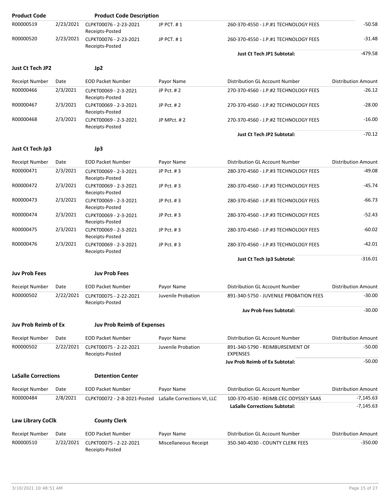| <b>Product Code</b>        |           | <b>Product Code Description</b>           |                             |                                                                               |                            |
|----------------------------|-----------|-------------------------------------------|-----------------------------|-------------------------------------------------------------------------------|----------------------------|
| R00000519                  | 2/23/2021 | CLPKT00076 - 2-23-2021<br>Receipts-Posted | JP PCT. #1                  | 260-370-4550 - J.P.#1 TECHNOLOGY FEES                                         | $-50.58$                   |
| R00000520                  | 2/23/2021 | CLPKT00076 - 2-23-2021<br>Receipts-Posted | JP PCT. #1                  | 260-370-4550 - J.P.#1 TECHNOLOGY FEES                                         | -31.48                     |
|                            |           |                                           |                             | <b>Just Ct Tech JP1 Subtotal:</b>                                             | $-479.58$                  |
| Just Ct Tech JP2           |           | Jp2                                       |                             |                                                                               |                            |
| Receipt Number             | Date      | <b>EOD Packet Number</b>                  | Payor Name                  | Distribution GL Account Number                                                | <b>Distribution Amount</b> |
| R00000466                  | 2/3/2021  | CLPKT00069 - 2-3-2021<br>Receipts-Posted  | JP Pct. #2                  | 270-370-4560 - J.P.#2 TECHNOLOGY FEES                                         | $-26.12$                   |
| R00000467                  | 2/3/2021  | CLPKT00069 - 2-3-2021<br>Receipts-Posted  | JP Pct. #2                  | 270-370-4560 - J.P.#2 TECHNOLOGY FEES                                         | $-28.00$                   |
| R00000468                  | 2/3/2021  | CLPKT00069 - 2-3-2021<br>Receipts-Posted  | JP MPct. #2                 | 270-370-4560 - J.P.#2 TECHNOLOGY FEES                                         | $-16.00$                   |
|                            |           |                                           |                             | <b>Just Ct Tech JP2 Subtotal:</b>                                             | $-70.12$                   |
| Just Ct Tech Jp3           |           | Jp3                                       |                             |                                                                               |                            |
| Receipt Number             | Date      | <b>EOD Packet Number</b>                  | Payor Name                  | Distribution GL Account Number                                                | <b>Distribution Amount</b> |
| R00000471                  | 2/3/2021  | CLPKT00069 - 2-3-2021<br>Receipts-Posted  | JP Pct. #3                  | 280-370-4560 - J.P.#3 TECHNOLOGY FEES                                         | $-49.08$                   |
| R00000472                  | 2/3/2021  | CLPKT00069 - 2-3-2021<br>Receipts-Posted  | JP Pct. #3                  | 280-370-4560 - J.P.#3 TECHNOLOGY FEES                                         | $-45.74$                   |
| R00000473                  | 2/3/2021  | CLPKT00069 - 2-3-2021<br>Receipts-Posted  | JP Pct. #3                  | 280-370-4560 - J.P.#3 TECHNOLOGY FEES                                         | $-66.73$                   |
| R00000474                  | 2/3/2021  | CLPKT00069 - 2-3-2021<br>Receipts-Posted  | JP Pct. #3                  | 280-370-4560 - J.P.#3 TECHNOLOGY FEES                                         | -52.43                     |
| R00000475                  | 2/3/2021  | CLPKT00069 - 2-3-2021<br>Receipts-Posted  | JP Pct. #3                  | 280-370-4560 - J.P.#3 TECHNOLOGY FEES                                         | $-60.02$                   |
| R00000476                  | 2/3/2021  | CLPKT00069 - 2-3-2021<br>Receipts-Posted  | JP Pct. #3                  | 280-370-4560 - J.P.#3 TECHNOLOGY FEES                                         | $-42.01$                   |
|                            |           |                                           |                             | Just Ct Tech Jp3 Subtotal:                                                    | $-316.01$                  |
| <b>Juv Prob Fees</b>       |           | <b>Juv Prob Fees</b>                      |                             |                                                                               |                            |
| Receipt Number             | Date      | <b>EOD Packet Number</b>                  | Payor Name                  | Distribution GL Account Number                                                | <b>Distribution Amount</b> |
| R00000502                  | 2/22/2021 | CLPKT00075 - 2-22-2021<br>Receipts-Posted | Juvenile Probation          | 891-340-5750 - JUVENILE PROBATION FEES                                        | $-30.00$                   |
|                            |           |                                           |                             | <b>Juv Prob Fees Subtotal:</b>                                                | $-30.00$                   |
| Juv Prob Reimb of Ex       |           | <b>Juv Prob Reimb of Expenses</b>         |                             |                                                                               |                            |
| Receipt Number             | Date      | <b>EOD Packet Number</b>                  | Payor Name                  | <b>Distribution GL Account Number</b>                                         | <b>Distribution Amount</b> |
| R00000502                  | 2/22/2021 | CLPKT00075 - 2-22-2021<br>Receipts-Posted | Juvenile Probation          | 891-340-5790 - REIMBURSEMENT OF<br><b>EXPENSES</b>                            | -50.00                     |
|                            |           |                                           |                             | Juv Prob Reimb of Ex Subtotal:                                                | $-50.00$                   |
| <b>LaSalle Corrections</b> |           | <b>Detention Center</b>                   |                             |                                                                               |                            |
| <b>Receipt Number</b>      | Date      | <b>EOD Packet Number</b>                  | Payor Name                  | Distribution GL Account Number                                                | <b>Distribution Amount</b> |
| R00000484                  | 2/8/2021  | CLPKT00072 - 2-8-2021-Posted              | LaSalle Corrections VI, LLC | 100-370-4530 - REIMB.CEC ODYSSEY SAAS<br><b>LaSalle Corrections Subtotal:</b> | $-7,145.63$<br>$-7,145.63$ |
| <b>Law Library CoClk</b>   |           | <b>County Clerk</b>                       |                             |                                                                               |                            |
| <b>Receipt Number</b>      | Date      | <b>EOD Packet Number</b>                  | Payor Name                  | Distribution GL Account Number                                                | <b>Distribution Amount</b> |
| R00000510                  | 2/22/2021 | CLPKT00075 - 2-22-2021<br>Receipts-Posted | Miscellaneous Receipt       | 350-340-4030 - COUNTY CLERK FEES                                              | $-350.00$                  |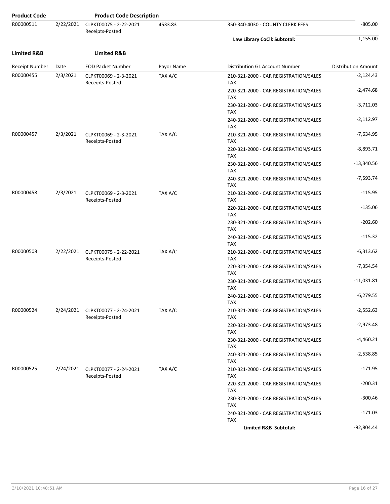| <b>Product Code</b>    |           | <b>Product Code Description</b>                     |            |                                                     |                            |
|------------------------|-----------|-----------------------------------------------------|------------|-----------------------------------------------------|----------------------------|
| R00000511              | 2/22/2021 | CLPKT00075 - 2-22-2021<br>Receipts-Posted           | 4533.83    | 350-340-4030 - COUNTY CLERK FEES                    | $-805.00$                  |
|                        |           |                                                     |            | Law Library CoClk Subtotal:                         | $-1,155.00$                |
| <b>Limited R&amp;B</b> |           | <b>Limited R&amp;B</b>                              |            |                                                     |                            |
| Receipt Number         | Date      | <b>EOD Packet Number</b>                            | Payor Name | Distribution GL Account Number                      | <b>Distribution Amount</b> |
| R00000455              | 2/3/2021  | CLPKT00069 - 2-3-2021<br>Receipts-Posted            | TAX A/C    | 210-321-2000 - CAR REGISTRATION/SALES<br><b>TAX</b> | $-2,124.43$                |
|                        |           |                                                     |            | 220-321-2000 - CAR REGISTRATION/SALES<br><b>TAX</b> | $-2,474.68$                |
|                        |           |                                                     |            | 230-321-2000 - CAR REGISTRATION/SALES<br><b>TAX</b> | $-3,712.03$                |
|                        |           |                                                     |            | 240-321-2000 - CAR REGISTRATION/SALES<br><b>TAX</b> | $-2,112.97$                |
| R00000457              | 2/3/2021  | CLPKT00069 - 2-3-2021<br>Receipts-Posted            | TAX A/C    | 210-321-2000 - CAR REGISTRATION/SALES<br><b>TAX</b> | $-7,634.95$                |
|                        |           |                                                     |            | 220-321-2000 - CAR REGISTRATION/SALES<br><b>TAX</b> | $-8,893.71$                |
|                        |           |                                                     |            | 230-321-2000 - CAR REGISTRATION/SALES<br><b>TAX</b> | $-13,340.56$               |
|                        |           |                                                     |            | 240-321-2000 - CAR REGISTRATION/SALES<br><b>TAX</b> | $-7,593.74$                |
| R00000458              | 2/3/2021  | CLPKT00069 - 2-3-2021<br>Receipts-Posted            | TAX A/C    | 210-321-2000 - CAR REGISTRATION/SALES<br><b>TAX</b> | $-115.95$                  |
|                        |           |                                                     |            | 220-321-2000 - CAR REGISTRATION/SALES<br><b>TAX</b> | -135.06                    |
|                        |           |                                                     |            | 230-321-2000 - CAR REGISTRATION/SALES<br><b>TAX</b> | $-202.60$                  |
|                        |           |                                                     |            | 240-321-2000 - CAR REGISTRATION/SALES<br><b>TAX</b> | $-115.32$                  |
| R00000508              | 2/22/2021 | CLPKT00075 - 2-22-2021<br>Receipts-Posted           | TAX A/C    | 210-321-2000 - CAR REGISTRATION/SALES<br><b>TAX</b> | $-6,313.62$                |
|                        |           |                                                     |            | 220-321-2000 - CAR REGISTRATION/SALES<br><b>TAX</b> | $-7,354.54$                |
|                        |           |                                                     |            | 230-321-2000 - CAR REGISTRATION/SALES<br><b>TAX</b> | $-11,031.81$               |
|                        |           |                                                     |            | 240-321-2000 - CAR REGISTRATION/SALES<br><b>TAX</b> | $-6,279.55$                |
| R00000524              |           | 2/24/2021 CLPKT00077 - 2-24-2021<br>Receipts-Posted | TAX A/C    | 210-321-2000 - CAR REGISTRATION/SALES<br><b>TAX</b> | $-2,552.63$                |
|                        |           |                                                     |            | 220-321-2000 - CAR REGISTRATION/SALES<br><b>TAX</b> | $-2,973.48$                |
|                        |           |                                                     |            | 230-321-2000 - CAR REGISTRATION/SALES<br><b>TAX</b> | $-4,460.21$                |
|                        |           |                                                     |            | 240-321-2000 - CAR REGISTRATION/SALES<br>TAX        | $-2,538.85$                |
| R00000525              | 2/24/2021 | CLPKT00077 - 2-24-2021<br>Receipts-Posted           | TAX A/C    | 210-321-2000 - CAR REGISTRATION/SALES<br><b>TAX</b> | $-171.95$                  |
|                        |           |                                                     |            | 220-321-2000 - CAR REGISTRATION/SALES<br><b>TAX</b> | $-200.31$                  |
|                        |           |                                                     |            | 230-321-2000 - CAR REGISTRATION/SALES<br><b>TAX</b> | $-300.46$                  |
|                        |           |                                                     |            | 240-321-2000 - CAR REGISTRATION/SALES<br><b>TAX</b> | $-171.03$                  |
|                        |           |                                                     |            | Limited R&B Subtotal:                               | $-92,804.44$               |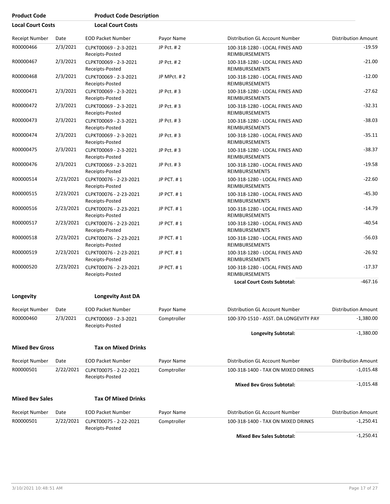| <b>Product Code</b>      |           | <b>Product Code Description</b>           |             |                                                         |                            |
|--------------------------|-----------|-------------------------------------------|-------------|---------------------------------------------------------|----------------------------|
| <b>Local Court Costs</b> |           | <b>Local Court Costs</b>                  |             |                                                         |                            |
| <b>Receipt Number</b>    | Date      | <b>EOD Packet Number</b>                  | Payor Name  | Distribution GL Account Number                          | <b>Distribution Amount</b> |
| R00000466                | 2/3/2021  | CLPKT00069 - 2-3-2021<br>Receipts-Posted  | JP Pct. #2  | 100-318-1280 - LOCAL FINES AND<br><b>REIMBURSEMENTS</b> | $-19.59$                   |
| R00000467                | 2/3/2021  | CLPKT00069 - 2-3-2021<br>Receipts-Posted  | JP Pct. #2  | 100-318-1280 - LOCAL FINES AND<br><b>REIMBURSEMENTS</b> | $-21.00$                   |
| R00000468                | 2/3/2021  | CLPKT00069 - 2-3-2021<br>Receipts-Posted  | JP MPct. #2 | 100-318-1280 - LOCAL FINES AND<br><b>REIMBURSEMENTS</b> | $-12.00$                   |
| R00000471                | 2/3/2021  | CLPKT00069 - 2-3-2021<br>Receipts-Posted  | JP Pct. #3  | 100-318-1280 - LOCAL FINES AND<br>REIMBURSEMENTS        | $-27.62$                   |
| R00000472                | 2/3/2021  | CLPKT00069 - 2-3-2021<br>Receipts-Posted  | JP Pct. #3  | 100-318-1280 - LOCAL FINES AND<br><b>REIMBURSEMENTS</b> | $-32.31$                   |
| R00000473                | 2/3/2021  | CLPKT00069 - 2-3-2021<br>Receipts-Posted  | JP Pct. #3  | 100-318-1280 - LOCAL FINES AND<br><b>REIMBURSEMENTS</b> | $-38.03$                   |
| R00000474                | 2/3/2021  | CLPKT00069 - 2-3-2021<br>Receipts-Posted  | JP Pct. #3  | 100-318-1280 - LOCAL FINES AND<br>REIMBURSEMENTS        | $-35.11$                   |
| R00000475                | 2/3/2021  | CLPKT00069 - 2-3-2021<br>Receipts-Posted  | JP Pct. #3  | 100-318-1280 - LOCAL FINES AND<br><b>REIMBURSEMENTS</b> | $-38.37$                   |
| R00000476                | 2/3/2021  | CLPKT00069 - 2-3-2021<br>Receipts-Posted  | JP Pct. #3  | 100-318-1280 - LOCAL FINES AND<br><b>REIMBURSEMENTS</b> | $-19.58$                   |
| R00000514                | 2/23/2021 | CLPKT00076 - 2-23-2021<br>Receipts-Posted | JP PCT. #1  | 100-318-1280 - LOCAL FINES AND<br>REIMBURSEMENTS        | $-22.60$                   |
| R00000515                | 2/23/2021 | CLPKT00076 - 2-23-2021<br>Receipts-Posted | JP PCT. #1  | 100-318-1280 - LOCAL FINES AND<br><b>REIMBURSEMENTS</b> | $-45.30$                   |
| R00000516                | 2/23/2021 | CLPKT00076 - 2-23-2021<br>Receipts-Posted | JP PCT. #1  | 100-318-1280 - LOCAL FINES AND<br>REIMBURSEMENTS        | $-14.79$                   |
| R00000517                | 2/23/2021 | CLPKT00076 - 2-23-2021<br>Receipts-Posted | JP PCT. #1  | 100-318-1280 - LOCAL FINES AND<br>REIMBURSEMENTS        | $-40.54$                   |
| R00000518                | 2/23/2021 | CLPKT00076 - 2-23-2021<br>Receipts-Posted | JP PCT. #1  | 100-318-1280 - LOCAL FINES AND<br><b>REIMBURSEMENTS</b> | $-56.03$                   |
| R00000519                | 2/23/2021 | CLPKT00076 - 2-23-2021<br>Receipts-Posted | JP PCT. #1  | 100-318-1280 - LOCAL FINES AND<br><b>REIMBURSEMENTS</b> | $-26.92$                   |
| R00000520                | 2/23/2021 | CLPKT00076 - 2-23-2021<br>Receipts-Posted | JP PCT. #1  | 100-318-1280 - LOCAL FINES AND<br><b>REIMBURSEMENTS</b> | $-17.37$                   |
|                          |           |                                           |             | <b>Local Court Costs Subtotal:</b>                      | $-467.16$                  |
| Longevity                |           | <b>Longevity Asst DA</b>                  |             |                                                         |                            |
| <b>Receipt Number</b>    | Date      | <b>EOD Packet Number</b>                  | Payor Name  | Distribution GL Account Number                          | <b>Distribution Amount</b> |
| R00000460                | 2/3/2021  | CLPKT00069 - 2-3-2021<br>Receipts-Posted  | Comptroller | 100-370-1510 - ASST. DA LONGEVITY PAY                   | $-1,380.00$                |
|                          |           |                                           |             | Longevity Subtotal:                                     | $-1,380.00$                |
| <b>Mixed Bev Gross</b>   |           | <b>Tax on Mixed Drinks</b>                |             |                                                         |                            |
| <b>Receipt Number</b>    | Date      | <b>EOD Packet Number</b>                  | Payor Name  | Distribution GL Account Number                          | <b>Distribution Amount</b> |
| R00000501                | 2/22/2021 | CLPKT00075 - 2-22-2021<br>Receipts-Posted | Comptroller | 100-318-1400 - TAX ON MIXED DRINKS                      | $-1,015.48$                |
|                          |           |                                           |             | <b>Mixed Bev Gross Subtotal:</b>                        | $-1,015.48$                |
| <b>Mixed Bev Sales</b>   |           | <b>Tax Of Mixed Drinks</b>                |             |                                                         |                            |
| <b>Receipt Number</b>    | Date      | <b>EOD Packet Number</b>                  | Payor Name  | Distribution GL Account Number                          | <b>Distribution Amount</b> |
| R00000501                | 2/22/2021 | CLPKT00075 - 2-22-2021<br>Receipts-Posted | Comptroller | 100-318-1400 - TAX ON MIXED DRINKS                      | $-1,250.41$                |

Mixed Bev Sales Subtotal: **All and Subset Subsets (2001)** -1,250.41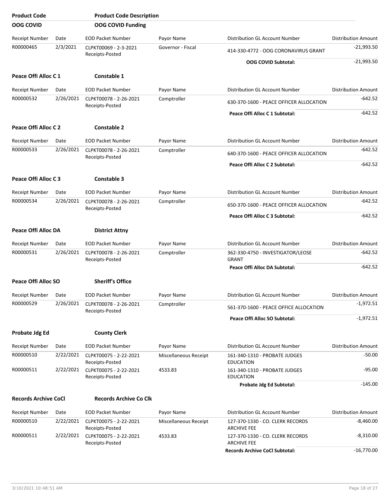| <b>Product Code</b>         |           | <b>Product Code Description</b>           |                       |                                                        |                            |
|-----------------------------|-----------|-------------------------------------------|-----------------------|--------------------------------------------------------|----------------------------|
| <b>OOG COVID</b>            |           | <b>OOG COVID Funding</b>                  |                       |                                                        |                            |
| Receipt Number              | Date      | <b>EOD Packet Number</b>                  | Payor Name            | Distribution GL Account Number                         | <b>Distribution Amount</b> |
| R00000465                   | 2/3/2021  | CLPKT00069 - 2-3-2021<br>Receipts-Posted  | Governor - Fiscal     | 414-330-4772 - OOG CORONAVIRUS GRANT                   | $-21,993.50$               |
|                             |           |                                           |                       | <b>OOG COVID Subtotal:</b>                             | $-21,993.50$               |
| Peace Offi Alloc C 1        |           | Constable 1                               |                       |                                                        |                            |
| <b>Receipt Number</b>       | Date      | <b>EOD Packet Number</b>                  | Payor Name            | <b>Distribution GL Account Number</b>                  | <b>Distribution Amount</b> |
| R00000532                   | 2/26/2021 | CLPKT00078 - 2-26-2021<br>Receipts-Posted | Comptroller           | 630-370-1600 - PEACE OFFICER ALLOCATION                | -642.52                    |
|                             |           |                                           |                       | Peace Offi Alloc C 1 Subtotal:                         | $-642.52$                  |
| Peace Offi Alloc C 2        |           | <b>Constable 2</b>                        |                       |                                                        |                            |
| <b>Receipt Number</b>       | Date      | <b>EOD Packet Number</b>                  | Payor Name            | Distribution GL Account Number                         | <b>Distribution Amount</b> |
| R00000533                   | 2/26/2021 | CLPKT00078 - 2-26-2021                    | Comptroller           | 640-370-1600 - PEACE OFFICER ALLOCATION                | -642.52                    |
|                             |           | Receipts-Posted                           |                       | Peace Offi Alloc C 2 Subtotal:                         | $-642.52$                  |
|                             |           |                                           |                       |                                                        |                            |
| Peace Offi Alloc C 3        |           | <b>Constable 3</b>                        |                       |                                                        |                            |
| <b>Receipt Number</b>       | Date      | <b>EOD Packet Number</b>                  | Payor Name            | <b>Distribution GL Account Number</b>                  | <b>Distribution Amount</b> |
| R00000534                   | 2/26/2021 | CLPKT00078 - 2-26-2021<br>Receipts-Posted | Comptroller           | 650-370-1600 - PEACE OFFICER ALLOCATION                | -642.52                    |
|                             |           |                                           |                       | Peace Offi Alloc C 3 Subtotal:                         | -642.52                    |
| <b>Peace Offi Alloc DA</b>  |           | <b>District Attny</b>                     |                       |                                                        |                            |
| Receipt Number              | Date      | <b>EOD Packet Number</b>                  | Payor Name            | Distribution GL Account Number                         | <b>Distribution Amount</b> |
| R00000531                   | 2/26/2021 | CLPKT00078 - 2-26-2021<br>Receipts-Posted | Comptroller           | 362-330-4750 - INVESTIGATOR/LEOSE<br><b>GRANT</b>      | $-642.52$                  |
|                             |           |                                           |                       | Peace Offi Alloc DA Subtotal:                          | $-642.52$                  |
| Peace Offi Alloc SO         |           | <b>Sheriff's Office</b>                   |                       |                                                        |                            |
| Receipt Number              | Date      | <b>EOD Packet Number</b>                  | Payor Name            | Distribution GL Account Number                         | <b>Distribution Amount</b> |
| R00000529                   | 2/26/2021 | CLPKT00078 - 2-26-2021                    | Comptroller           | 561-370-1600 - PEACE OFFICE ALLOCATION                 | $-1,972.51$                |
|                             |           | Receipts-Posted                           |                       | Peace Offi Alloc SO Subtotal:                          | $-1,972.51$                |
|                             |           |                                           |                       |                                                        |                            |
| <b>Probate Jdg Ed</b>       |           | <b>County Clerk</b>                       |                       |                                                        |                            |
| Receipt Number              | Date      | <b>EOD Packet Number</b>                  | Payor Name            | Distribution GL Account Number                         | <b>Distribution Amount</b> |
| R00000510                   | 2/22/2021 | CLPKT00075 - 2-22-2021<br>Receipts-Posted | Miscellaneous Receipt | 161-340-1310 - PROBATE JUDGES<br><b>EDUCATION</b>      | $-50.00$                   |
| R00000511                   | 2/22/2021 | CLPKT00075 - 2-22-2021<br>Receipts-Posted | 4533.83               | 161-340-1310 - PROBATE JUDGES<br><b>EDUCATION</b>      | $-95.00$                   |
|                             |           |                                           |                       | Probate Jdg Ed Subtotal:                               | $-145.00$                  |
| <b>Records Archive CoCl</b> |           | <b>Records Archive Co Clk</b>             |                       |                                                        |                            |
| Receipt Number              | Date      | <b>EOD Packet Number</b>                  | Payor Name            | Distribution GL Account Number                         | <b>Distribution Amount</b> |
| R00000510                   | 2/22/2021 | CLPKT00075 - 2-22-2021<br>Receipts-Posted | Miscellaneous Receipt | 127-370-1330 - CO. CLERK RECORDS<br><b>ARCHIVE FEE</b> | $-8,460.00$                |
| R00000511                   | 2/22/2021 | CLPKT00075 - 2-22-2021<br>Receipts-Posted | 4533.83               | 127-370-1330 - CO. CLERK RECORDS<br><b>ARCHIVE FEE</b> | $-8,310.00$                |
|                             |           |                                           |                       | <b>Records Archive CoCl Subtotal:</b>                  | $-16,770.00$               |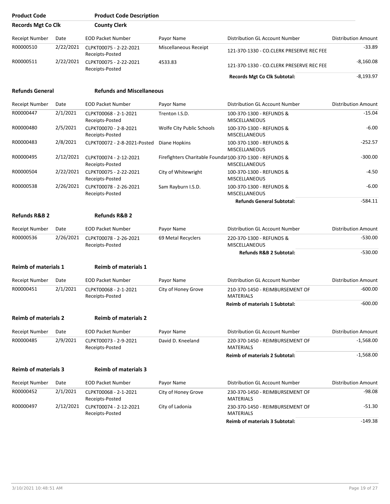| <b>Product Code</b>         |           | <b>Product Code Description</b>           |                                                         |                                                     |                            |
|-----------------------------|-----------|-------------------------------------------|---------------------------------------------------------|-----------------------------------------------------|----------------------------|
| <b>Records Mgt Co Clk</b>   |           | <b>County Clerk</b>                       |                                                         |                                                     |                            |
| Receipt Number              | Date      | <b>EOD Packet Number</b>                  | Payor Name                                              | Distribution GL Account Number                      | <b>Distribution Amount</b> |
| R00000510                   | 2/22/2021 | CLPKT00075 - 2-22-2021<br>Receipts-Posted | Miscellaneous Receipt                                   | 121-370-1330 - CO.CLERK PRESERVE REC FEE            | $-33.89$                   |
| R00000511                   | 2/22/2021 | CLPKT00075 - 2-22-2021<br>Receipts-Posted | 4533.83                                                 | 121-370-1330 - CO.CLERK PRESERVE REC FEE            | $-8,160.08$                |
|                             |           |                                           |                                                         | <b>Records Mgt Co Clk Subtotal:</b>                 | $-8,193.97$                |
| <b>Refunds General</b>      |           | <b>Refunds and Miscellaneous</b>          |                                                         |                                                     |                            |
| Receipt Number              | Date      | <b>EOD Packet Number</b>                  | Payor Name                                              | Distribution GL Account Number                      | <b>Distribution Amount</b> |
| R00000447                   | 2/1/2021  | CLPKT00068 - 2-1-2021<br>Receipts-Posted  | Trenton I.S.D.                                          | 100-370-1300 - REFUNDS &<br><b>MISCELLANEOUS</b>    | $-15.04$                   |
| R00000480                   | 2/5/2021  | CLPKT00070 - 2-8-2021<br>Receipts-Posted  | Wolfe City Public Schools                               | 100-370-1300 - REFUNDS &<br><b>MISCELLANEOUS</b>    | $-6.00$                    |
| R00000483                   | 2/8/2021  | CLPKT00072 - 2-8-2021-Posted              | Diane Hopkins                                           | 100-370-1300 - REFUNDS &<br>MISCELLANEOUS           | $-252.57$                  |
| R00000495                   | 2/12/2021 | CLPKT00074 - 2-12-2021<br>Receipts-Posted | Firefighters Charitable Foundat100-370-1300 - REFUNDS & | <b>MISCELLANEOUS</b>                                | $-300.00$                  |
| R00000504                   | 2/22/2021 | CLPKT00075 - 2-22-2021<br>Receipts-Posted | City of Whitewright                                     | 100-370-1300 - REFUNDS &<br><b>MISCELLANEOUS</b>    | $-4.50$                    |
| R00000538                   | 2/26/2021 | CLPKT00078 - 2-26-2021<br>Receipts-Posted | Sam Rayburn I.S.D.                                      | 100-370-1300 - REFUNDS &<br><b>MISCELLANEOUS</b>    | $-6.00$                    |
|                             |           |                                           |                                                         | <b>Refunds General Subtotal:</b>                    | $-584.11$                  |
| <b>Refunds R&amp;B 2</b>    |           | <b>Refunds R&amp;B 2</b>                  |                                                         |                                                     |                            |
| Receipt Number              | Date      | <b>EOD Packet Number</b>                  | Payor Name                                              | Distribution GL Account Number                      | <b>Distribution Amount</b> |
| R00000536                   | 2/26/2021 | CLPKT00078 - 2-26-2021<br>Receipts-Posted | 69 Metal Recyclers                                      | 220-370-1300 - REFUNDS &<br><b>MISCELLANEOUS</b>    | $-530.00$                  |
|                             |           |                                           |                                                         | <b>Refunds R&amp;B 2 Subtotal:</b>                  | $-530.00$                  |
| <b>Reimb of materials 1</b> |           | <b>Reimb of materials 1</b>               |                                                         |                                                     |                            |
| Receipt Number              | Date      | <b>EOD Packet Number</b>                  | Payor Name                                              | Distribution GL Account Number                      | <b>Distribution Amount</b> |
| R00000451                   | 2/1/2021  | CLPKT00068 - 2-1-2021<br>Receipts-Posted  | City of Honey Grove                                     | 210-370-1450 - REIMBURSEMENT OF<br><b>MATERIALS</b> | $-600.00$                  |
|                             |           |                                           |                                                         | <b>Reimb of materials 1 Subtotal:</b>               | $-600.00$                  |
| <b>Reimb of materials 2</b> |           | <b>Reimb of materials 2</b>               |                                                         |                                                     |                            |
| <b>Receipt Number</b>       | Date      | <b>EOD Packet Number</b>                  | Payor Name                                              | Distribution GL Account Number                      | <b>Distribution Amount</b> |
| R00000485                   | 2/9/2021  | CLPKT00073 - 2-9-2021<br>Receipts-Posted  | David D. Kneeland                                       | 220-370-1450 - REIMBURSEMENT OF<br><b>MATERIALS</b> | $-1,568.00$                |
|                             |           |                                           |                                                         | <b>Reimb of materials 2 Subtotal:</b>               | $-1,568.00$                |
| <b>Reimb of materials 3</b> |           | <b>Reimb of materials 3</b>               |                                                         |                                                     |                            |
| Receipt Number              | Date      | <b>EOD Packet Number</b>                  | Payor Name                                              | Distribution GL Account Number                      | <b>Distribution Amount</b> |
| R00000452                   | 2/1/2021  | CLPKT00068 - 2-1-2021<br>Receipts-Posted  | City of Honey Grove                                     | 230-370-1450 - REIMBURSEMENT OF<br><b>MATERIALS</b> | -98.08                     |
| R00000497                   | 2/12/2021 | CLPKT00074 - 2-12-2021<br>Receipts-Posted | City of Ladonia                                         | 230-370-1450 - REIMBURSEMENT OF<br><b>MATERIALS</b> | $-51.30$                   |
|                             |           |                                           |                                                         | <b>Reimb of materials 3 Subtotal:</b>               | $-149.38$                  |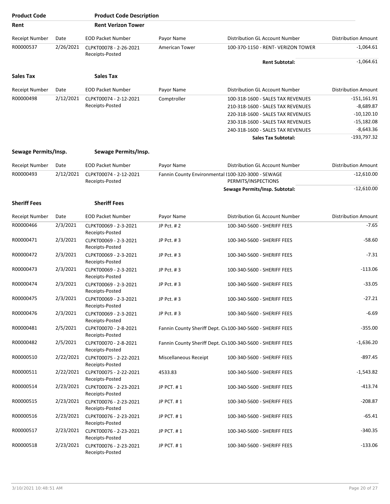| <b>Product Code</b>   |           | <b>Product Code Description</b>           |                       |                                                                           |                            |
|-----------------------|-----------|-------------------------------------------|-----------------------|---------------------------------------------------------------------------|----------------------------|
| Rent                  |           | <b>Rent Verizon Tower</b>                 |                       |                                                                           |                            |
| Receipt Number        | Date      | <b>EOD Packet Number</b>                  | Payor Name            | Distribution GL Account Number                                            | <b>Distribution Amount</b> |
| R00000537             | 2/26/2021 | CLPKT00078 - 2-26-2021<br>Receipts-Posted | American Tower        | 100-370-1150 - RENT- VERIZON TOWER                                        | $-1,064.61$                |
|                       |           |                                           |                       | <b>Rent Subtotal:</b>                                                     | $-1,064.61$                |
| <b>Sales Tax</b>      |           | <b>Sales Tax</b>                          |                       |                                                                           |                            |
| Receipt Number        | Date      | <b>EOD Packet Number</b>                  | Payor Name            | Distribution GL Account Number                                            | <b>Distribution Amount</b> |
| R00000498             | 2/12/2021 | CLPKT00074 - 2-12-2021                    | Comptroller           | 100-318-1600 - SALES TAX REVENUES                                         | $-151,161.91$              |
|                       |           | Receipts-Posted                           |                       | 210-318-1600 - SALES TAX REVENUES                                         | $-8,689.87$                |
|                       |           |                                           |                       | 220-318-1600 - SALES TAX REVENUES                                         | $-10,120.10$               |
|                       |           |                                           |                       | 230-318-1600 - SALES TAX REVENUES                                         | $-15,182.08$               |
|                       |           |                                           |                       | 240-318-1600 - SALES TAX REVENUES                                         | $-8,643.36$                |
|                       |           |                                           |                       | <b>Sales Tax Subtotal:</b>                                                | $-193,797.32$              |
| Sewage Permits/Insp.  |           | Sewage Permits/Insp.                      |                       |                                                                           |                            |
| Receipt Number        | Date      | <b>EOD Packet Number</b>                  | Payor Name            | Distribution GL Account Number                                            | <b>Distribution Amount</b> |
| R00000493             | 2/12/2021 | CLPKT00074 - 2-12-2021<br>Receipts-Posted |                       | Fannin County Environmental I100-320-3000 - SEWAGE<br>PERMITS/INSPECTIONS | $-12,610.00$               |
|                       |           |                                           |                       | Sewage Permits/Insp. Subtotal:                                            | $-12,610.00$               |
| <b>Sheriff Fees</b>   |           | <b>Sheriff Fees</b>                       |                       |                                                                           |                            |
| <b>Receipt Number</b> | Date      | <b>EOD Packet Number</b>                  | Payor Name            | Distribution GL Account Number                                            | <b>Distribution Amount</b> |
| R00000466             | 2/3/2021  | CLPKT00069 - 2-3-2021<br>Receipts-Posted  | JP Pct. #2            | 100-340-5600 - SHERIFF FEES                                               | $-7.65$                    |
| R00000471             | 2/3/2021  | CLPKT00069 - 2-3-2021<br>Receipts-Posted  | JP Pct. #3            | 100-340-5600 - SHERIFF FEES                                               | $-58.60$                   |
| R00000472             | 2/3/2021  | CLPKT00069 - 2-3-2021<br>Receipts-Posted  | JP Pct. #3            | 100-340-5600 - SHERIFF FEES                                               | $-7.31$                    |
| R00000473             | 2/3/2021  | CLPKT00069 - 2-3-2021<br>Receipts-Posted  | JP Pct. #3            | 100-340-5600 - SHERIFF FEES                                               | $-113.06$                  |
| R00000474             | 2/3/2021  | CLPKT00069 - 2-3-2021<br>Receipts-Posted  | JP Pct. #3            | 100-340-5600 - SHERIFF FEES                                               | $-33.05$                   |
| R00000475             | 2/3/2021  | CLPKT00069 - 2-3-2021<br>Receipts-Posted  | JP Pct. #3            | 100-340-5600 - SHERIFF FEES                                               | $-27.21$                   |
| R00000476             | 2/3/2021  | CLPKT00069 - 2-3-2021<br>Receipts-Posted  | JP Pct. #3            | 100-340-5600 - SHERIFF FEES                                               | $-6.69$                    |
| R00000481             | 2/5/2021  | CLPKT00070 - 2-8-2021<br>Receipts-Posted  |                       | Fannin County Sheriff Dept. Civ100-340-5600 - SHERIFF FEES                | $-355.00$                  |
| R00000482             | 2/5/2021  | CLPKT00070 - 2-8-2021<br>Receipts-Posted  |                       | Fannin County Sheriff Dept. Civ100-340-5600 - SHERIFF FEES                | $-1,636.20$                |
| R00000510             | 2/22/2021 | CLPKT00075 - 2-22-2021<br>Receipts-Posted | Miscellaneous Receipt | 100-340-5600 - SHERIFF FEES                                               | $-897.45$                  |
| R00000511             | 2/22/2021 | CLPKT00075 - 2-22-2021<br>Receipts-Posted | 4533.83               | 100-340-5600 - SHERIFF FEES                                               | $-1,543.82$                |
| R00000514             | 2/23/2021 | CLPKT00076 - 2-23-2021<br>Receipts-Posted | JP PCT. #1            | 100-340-5600 - SHERIFF FEES                                               | $-413.74$                  |
| R00000515             | 2/23/2021 | CLPKT00076 - 2-23-2021<br>Receipts-Posted | JP PCT. #1            | 100-340-5600 - SHERIFF FEES                                               | $-208.87$                  |
| R00000516             | 2/23/2021 | CLPKT00076 - 2-23-2021<br>Receipts-Posted | JP PCT. #1            | 100-340-5600 - SHERIFF FEES                                               | $-65.41$                   |
| R00000517             | 2/23/2021 | CLPKT00076 - 2-23-2021<br>Receipts-Posted | JP PCT. #1            | 100-340-5600 - SHERIFF FEES                                               | $-340.35$                  |
| R00000518             | 2/23/2021 | CLPKT00076 - 2-23-2021<br>Receipts-Posted | JP PCT. #1            | 100-340-5600 - SHERIFF FEES                                               | $-133.06$                  |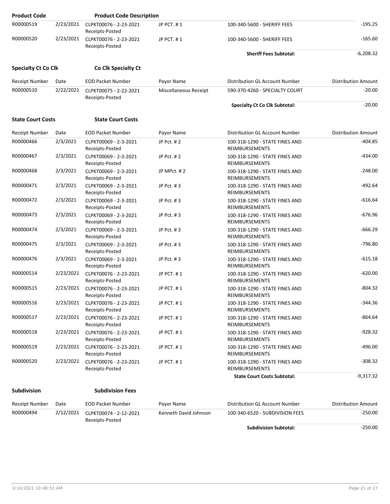| <b>Product Code</b>        |           | <b>Product Code Description</b>                     |                       |                                                         |                            |
|----------------------------|-----------|-----------------------------------------------------|-----------------------|---------------------------------------------------------|----------------------------|
| R00000519                  | 2/23/2021 | CLPKT00076 - 2-23-2021<br>Receipts-Posted           | JP PCT. #1            | 100-340-5600 - SHERIFF FEES                             | $-195.25$                  |
| R00000520                  | 2/23/2021 | CLPKT00076 - 2-23-2021<br>Receipts-Posted           | JP PCT. #1            | 100-340-5600 - SHERIFF FEES                             | $-165.60$                  |
|                            |           |                                                     |                       | <b>Sheriff Fees Subtotal:</b>                           | $-6,208.32$                |
| <b>Specialty Ct Co Clk</b> |           | Co Clk Specialty Ct                                 |                       |                                                         |                            |
| Receipt Number             | Date      | <b>EOD Packet Number</b>                            | Payor Name            | <b>Distribution GL Account Number</b>                   | <b>Distribution Amount</b> |
| R00000510                  | 2/22/2021 | CLPKT00075 - 2-22-2021<br>Receipts-Posted           | Miscellaneous Receipt | 590-370-4260 - SPECIALTY COURT                          | $-20.00$                   |
|                            |           |                                                     |                       | <b>Specialty Ct Co Clk Subtotal:</b>                    | $-20.00$                   |
| <b>State Court Costs</b>   |           | <b>State Court Costs</b>                            |                       |                                                         |                            |
| <b>Receipt Number</b>      | Date      | <b>EOD Packet Number</b>                            | Payor Name            | Distribution GL Account Number                          | <b>Distribution Amount</b> |
| R00000466                  | 2/3/2021  | CLPKT00069 - 2-3-2021<br>Receipts-Posted            | JP Pct. #2            | 100-318-1290 - STATE FINES AND<br><b>REIMBURSEMENTS</b> | $-404.85$                  |
| R00000467                  | 2/3/2021  | CLPKT00069 - 2-3-2021<br>Receipts-Posted            | JP Pct. #2            | 100-318-1290 - STATE FINES AND<br><b>REIMBURSEMENTS</b> | $-434.00$                  |
| R00000468                  | 2/3/2021  | CLPKT00069 - 2-3-2021<br>Receipts-Posted            | JP MPct. #2           | 100-318-1290 - STATE FINES AND<br><b>REIMBURSEMENTS</b> | $-248.00$                  |
| R00000471                  | 2/3/2021  | CLPKT00069 - 2-3-2021<br>Receipts-Posted            | JP Pct. #3            | 100-318-1290 - STATE FINES AND<br>REIMBURSEMENTS        | $-492.64$                  |
| R00000472                  | 2/3/2021  | CLPKT00069 - 2-3-2021<br>Receipts-Posted            | JP Pct. #3            | 100-318-1290 - STATE FINES AND<br><b>REIMBURSEMENTS</b> | $-616.64$                  |
| R00000473                  | 2/3/2021  | CLPKT00069 - 2-3-2021<br>Receipts-Posted            | JP Pct. #3            | 100-318-1290 - STATE FINES AND<br>REIMBURSEMENTS        | $-676.96$                  |
| R00000474                  | 2/3/2021  | CLPKT00069 - 2-3-2021<br>Receipts-Posted            | JP Pct. #3            | 100-318-1290 - STATE FINES AND<br>REIMBURSEMENTS        | $-666.29$                  |
| R00000475                  | 2/3/2021  | CLPKT00069 - 2-3-2021<br>Receipts-Posted            | JP Pct. #3            | 100-318-1290 - STATE FINES AND<br><b>REIMBURSEMENTS</b> | $-796.80$                  |
| R00000476                  | 2/3/2021  | CLPKT00069 - 2-3-2021<br>Receipts-Posted            | JP Pct. #3            | 100-318-1290 - STATE FINES AND<br>REIMBURSEMENTS        | $-615.18$                  |
| R00000514                  | 2/23/2021 | CLPKT00076 - 2-23-2021<br>Receipts-Posted           | JP PCT. #1            | 100-318-1290 - STATE FINES AND<br>REIMBURSEMENTS        | $-620.00$                  |
| R00000515                  | 2/23/2021 | CLPKT00076 - 2-23-2021<br>Receipts-Posted           | JP PCT. #1            | 100-318-1290 - STATE FINES AND<br>REIMBURSEMENTS        | $-804.32$                  |
| R00000516                  |           | 2/23/2021 CLPKT00076 - 2-23-2021<br>Receipts-Posted | JP PCT. #1            | 100-318-1290 - STATE FINES AND<br><b>REIMBURSEMENTS</b> | $-344.36$                  |
| R00000517                  | 2/23/2021 | CLPKT00076 - 2-23-2021<br>Receipts-Posted           | JP PCT. #1            | 100-318-1290 - STATE FINES AND<br>REIMBURSEMENTS        | $-864.64$                  |
| R00000518                  | 2/23/2021 | CLPKT00076 - 2-23-2021<br>Receipts-Posted           | JP PCT. #1            | 100-318-1290 - STATE FINES AND<br>REIMBURSEMENTS        | $-928.32$                  |
| R00000519                  | 2/23/2021 | CLPKT00076 - 2-23-2021<br>Receipts-Posted           | JP PCT. #1            | 100-318-1290 - STATE FINES AND<br>REIMBURSEMENTS        | $-496.00$                  |
| R00000520                  | 2/23/2021 | CLPKT00076 - 2-23-2021<br>Receipts-Posted           | JP PCT. #1            | 100-318-1290 - STATE FINES AND<br><b>REIMBURSEMENTS</b> | $-308.32$                  |
|                            |           |                                                     |                       | <b>State Court Costs Subtotal:</b>                      | -9,317.32                  |
| Subdivision                |           | <b>Subdivision Fees</b>                             |                       |                                                         |                            |
| Receipt Number             | Date      | <b>EOD Packet Number</b>                            | Payor Name            | Distribution GL Account Number                          | Distribution Amount        |

| Receipt Number | Date | EOD Packet Number | Pavor Name            | Distribution GL Account Number  | Distribution Amount |
|----------------|------|-------------------|-----------------------|---------------------------------|---------------------|
| R00000494      |      | Receipts-Posted   | Kenneth David Johnson | 100-340-6520 - SUBDIVISION FEES | $-250.00$           |
|                |      |                   |                       | <b>Subdivision Subtotal:</b>    | -250.00             |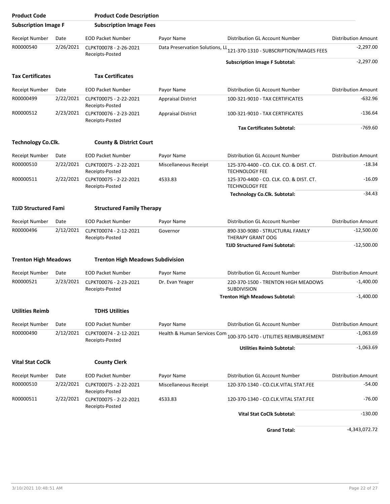| <b>Product Code</b>         |           | <b>Product Code Description</b>           |                                 |                                                                    |                            |
|-----------------------------|-----------|-------------------------------------------|---------------------------------|--------------------------------------------------------------------|----------------------------|
| <b>Subscription Image F</b> |           | <b>Subscription Image Fees</b>            |                                 |                                                                    |                            |
| Receipt Number              | Date      | <b>EOD Packet Number</b>                  | Payor Name                      | Distribution GL Account Number                                     | <b>Distribution Amount</b> |
| R00000540                   | 2/26/2021 | CLPKT00078 - 2-26-2021<br>Receipts-Posted | Data Preservation Solutions, LL | 121-370-1310 - SUBSCRIPTION/IMAGES FEES                            | $-2,297.00$                |
|                             |           |                                           |                                 | <b>Subscription Image F Subtotal:</b>                              | $-2,297.00$                |
| <b>Tax Certificates</b>     |           | <b>Tax Certificates</b>                   |                                 |                                                                    |                            |
| <b>Receipt Number</b>       | Date      | <b>EOD Packet Number</b>                  | Payor Name                      | Distribution GL Account Number                                     | <b>Distribution Amount</b> |
| R00000499                   | 2/22/2021 | CLPKT00075 - 2-22-2021<br>Receipts-Posted | <b>Appraisal District</b>       | 100-321-9010 - TAX CERTIFICATES                                    | $-632.96$                  |
| R00000512                   | 2/23/2021 | CLPKT00076 - 2-23-2021<br>Receipts-Posted | <b>Appraisal District</b>       | 100-321-9010 - TAX CERTIFICATES                                    | $-136.64$                  |
|                             |           |                                           |                                 | <b>Tax Certificates Subtotal:</b>                                  | $-769.60$                  |
| <b>Technology Co.Clk.</b>   |           | <b>County &amp; District Court</b>        |                                 |                                                                    |                            |
| Receipt Number              | Date      | <b>EOD Packet Number</b>                  | Payor Name                      | Distribution GL Account Number                                     | <b>Distribution Amount</b> |
| R00000510                   | 2/22/2021 | CLPKT00075 - 2-22-2021<br>Receipts-Posted | Miscellaneous Receipt           | 125-370-4400 - CO. CLK. CO. & DIST. CT.<br><b>TECHNOLOGY FEE</b>   | $-18.34$                   |
| R00000511                   | 2/22/2021 | CLPKT00075 - 2-22-2021<br>Receipts-Posted | 4533.83                         | 125-370-4400 - CO. CLK. CO. & DIST. CT.<br><b>TECHNOLOGY FEE</b>   | $-16.09$                   |
|                             |           |                                           |                                 | <b>Technology Co.Clk. Subtotal:</b>                                | $-34.43$                   |
| <b>TJJD Structured Fami</b> |           | <b>Structured Family Therapy</b>          |                                 |                                                                    |                            |
| Receipt Number              | Date      | <b>EOD Packet Number</b>                  | Payor Name                      | Distribution GL Account Number                                     | <b>Distribution Amount</b> |
| R00000496                   | 2/12/2021 | CLPKT00074 - 2-12-2021<br>Receipts-Posted | Governor                        | 890-330-9080 - STRUCTURAL FAMILY<br>THERAPY GRANT OOG              | $-12,500.00$               |
|                             |           |                                           |                                 | <b>TJJD Structured Fami Subtotal:</b>                              | $-12,500.00$               |
| <b>Trenton High Meadows</b> |           | <b>Trenton High Meadows Subdivision</b>   |                                 |                                                                    |                            |
| <b>Receipt Number</b>       | Date      | <b>EOD Packet Number</b>                  | Payor Name                      | <b>Distribution GL Account Number</b>                              | <b>Distribution Amount</b> |
| R00000521                   | 2/23/2021 | CLPKT00076 - 2-23-2021<br>Receipts-Posted | Dr. Evan Yeager                 | 220-370-1500 - TRENTON HIGH MEADOWS<br><b>SUBDIVISION</b>          | $-1,400.00$                |
|                             |           |                                           |                                 | <b>Trenton High Meadows Subtotal:</b>                              | $-1,400.00$                |
| <b>Utilities Reimb</b>      |           | <b>TDHS Utilities</b>                     |                                 |                                                                    |                            |
| Receipt Number              | Date      | <b>EOD Packet Number</b>                  | Payor Name                      | Distribution GL Account Number                                     | <b>Distribution Amount</b> |
| R00000490                   | 2/12/2021 | CLPKT00074 - 2-12-2021<br>Receipts-Posted |                                 | Health & Human Services Com 100-370-1470 - UTILITIES REIMBURSEMENT | $-1,063.69$                |
|                             |           |                                           |                                 | <b>Utilities Reimb Subtotal:</b>                                   | $-1,063.69$                |
| <b>Vital Stat CoClk</b>     |           | <b>County Clerk</b>                       |                                 |                                                                    |                            |
| Receipt Number              | Date      | <b>EOD Packet Number</b>                  | Payor Name                      | Distribution GL Account Number                                     | <b>Distribution Amount</b> |
| R00000510                   | 2/22/2021 | CLPKT00075 - 2-22-2021<br>Receipts-Posted | Miscellaneous Receipt           | 120-370-1340 - CO.CLK.VITAL STAT.FEE                               | $-54.00$                   |
| R00000511                   | 2/22/2021 | CLPKT00075 - 2-22-2021<br>Receipts-Posted | 4533.83                         | 120-370-1340 - CO.CLK.VITAL STAT.FEE                               | $-76.00$                   |
|                             |           |                                           |                                 | <b>Vital Stat CoClk Subtotal:</b>                                  | $-130.00$                  |
|                             |           |                                           |                                 | <b>Grand Total:</b>                                                | $-4,343,072.72$            |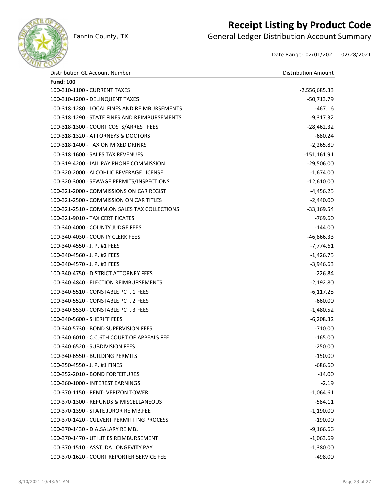

## **Receipt Listing by Product Code**

Fannin County, TX **General Ledger Distribution Account Summary** 

Date Range: 02/01/2021 - 02/28/2021

| Distribution GL Account Number                | <b>Distribution Amount</b> |
|-----------------------------------------------|----------------------------|
| <b>Fund: 100</b>                              |                            |
| 100-310-1100 - CURRENT TAXES                  | $-2,556,685.33$            |
| 100-310-1200 - DELINQUENT TAXES               | $-50,713.79$               |
| 100-318-1280 - LOCAL FINES AND REIMBURSEMENTS | $-467.16$                  |
| 100-318-1290 - STATE FINES AND REIMBURSEMENTS | $-9,317.32$                |
| 100-318-1300 - COURT COSTS/ARREST FEES        | $-28,462.32$               |
| 100-318-1320 - ATTORNEYS & DOCTORS            | $-680.24$                  |
| 100-318-1400 - TAX ON MIXED DRINKS            | $-2,265.89$                |
| 100-318-1600 - SALES TAX REVENUES             | $-151,161.91$              |
| 100-319-4200 - JAIL PAY PHONE COMMISSION      | $-29,506.00$               |
| 100-320-2000 - ALCOHLIC BEVERAGE LICENSE      | $-1,674.00$                |
| 100-320-3000 - SEWAGE PERMITS/INSPECTIONS     | $-12,610.00$               |
| 100-321-2000 - COMMISSIONS ON CAR REGIST      | $-4,456.25$                |
| 100-321-2500 - COMMISSION ON CAR TITLES       | $-2,440.00$                |
| 100-321-2510 - COMM.ON SALES TAX COLLECTIONS  | $-33,169.54$               |
| 100-321-9010 - TAX CERTIFICATES               | $-769.60$                  |
| 100-340-4000 - COUNTY JUDGE FEES              | $-144.00$                  |
| 100-340-4030 - COUNTY CLERK FEES              | $-46,866.33$               |
| 100-340-4550 - J. P. #1 FEES                  | $-7,774.61$                |
| 100-340-4560 - J. P. #2 FEES                  | $-1,426.75$                |
| 100-340-4570 - J. P. #3 FEES                  | $-3,946.63$                |
| 100-340-4750 - DISTRICT ATTORNEY FEES         | $-226.84$                  |
| 100-340-4840 - ELECTION REIMBURSEMENTS        | $-2,192.80$                |
| 100-340-5510 - CONSTABLE PCT. 1 FEES          | $-6,117.25$                |
| 100-340-5520 - CONSTABLE PCT. 2 FEES          | $-660.00$                  |
| 100-340-5530 - CONSTABLE PCT. 3 FEES          | $-1,480.52$                |
| 100-340-5600 - SHERIFF FEES                   | $-6,208.32$                |
| 100-340-5730 - BOND SUPERVISION FEES          | $-710.00$                  |
| 100-340-6010 - C.C.6TH COURT OF APPEALS FEE   | $-165.00$                  |
| 100-340-6520 - SUBDIVISION FEES               | $-250.00$                  |
| 100-340-6550 - BUILDING PERMITS               | $-150.00$                  |
| 100-350-4550 - J. P. #1 FINES                 | -686.60                    |
| 100-352-2010 - BOND FORFEITURES               | $-14.00$                   |
| 100-360-1000 - INTEREST EARNINGS              | $-2.19$                    |
| 100-370-1150 - RENT- VERIZON TOWER            | $-1,064.61$                |
| 100-370-1300 - REFUNDS & MISCELLANEOUS        | $-584.11$                  |
| 100-370-1390 - STATE JUROR REIMB.FEE          | $-1,190.00$                |
| 100-370-1420 - CULVERT PERMITTING PROCESS     | $-190.00$                  |
| 100-370-1430 - D.A.SALARY REIMB.              | $-9,166.66$                |
| 100-370-1470 - UTILITIES REIMBURSEMENT        | $-1,063.69$                |
| 100-370-1510 - ASST. DA LONGEVITY PAY         | $-1,380.00$                |
| 100-370-1620 - COURT REPORTER SERVICE FEE     | $-498.00$                  |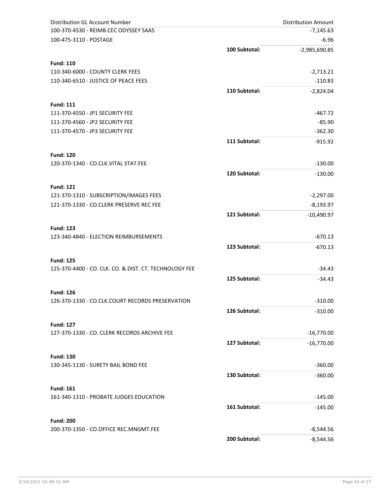| <b>Distribution GL Account Number</b>                            |               | <b>Distribution Amount</b> |
|------------------------------------------------------------------|---------------|----------------------------|
| 100-370-4530 - REIMB.CEC ODYSSEY SAAS                            |               | $-7,145.63$                |
| 100-475-3110 - POSTAGE                                           |               | $-6.96$                    |
|                                                                  | 100 Subtotal: | $-2,985,690.85$            |
| <b>Fund: 110</b>                                                 |               |                            |
| 110-340-6000 - COUNTY CLERK FEES                                 |               | $-2,713.21$                |
| 110-340-6510 - JUSTICE OF PEACE FEES                             |               | $-110.83$                  |
|                                                                  | 110 Subtotal: | $-2,824.04$                |
| <b>Fund: 111</b>                                                 |               |                            |
| 111-370-4550 - JP1 SECURITY FEE                                  |               | $-467.72$                  |
| 111-370-4560 - JP2 SECURITY FEE                                  |               | $-85.90$                   |
| 111-370-4570 - JP3 SECURITY FEE                                  |               | $-362.30$                  |
|                                                                  | 111 Subtotal: | $-915.92$                  |
| <b>Fund: 120</b>                                                 |               |                            |
| 120-370-1340 - CO.CLK.VITAL STAT.FEE                             |               | $-130.00$                  |
|                                                                  | 120 Subtotal: | $-130.00$                  |
| <b>Fund: 121</b>                                                 |               |                            |
| 121-370-1310 - SUBSCRIPTION/IMAGES FEES                          |               | $-2,297.00$                |
| 121-370-1330 - CO.CLERK PRESERVE REC FEE                         |               | $-8,193.97$                |
|                                                                  | 121 Subtotal: | $-10,490.97$               |
|                                                                  |               |                            |
| <b>Fund: 123</b>                                                 |               |                            |
| 123-340-4840 - ELECTION REIMBURSEMENTS                           |               | $-670.13$                  |
|                                                                  | 123 Subtotal: | $-670.13$                  |
| <b>Fund: 125</b>                                                 |               |                            |
| 125-370-4400 - CO. CLK. CO. & DIST. CT. TECHNOLOGY FEE           |               | $-34.43$                   |
|                                                                  | 125 Subtotal: | $-34.43$                   |
| <b>Fund: 126</b>                                                 |               |                            |
| 126-370-1330 - CO.CLK.COURT RECORDS PRESERVATION                 |               | $-310.00$                  |
|                                                                  | 126 Subtotal: | $-310.00$                  |
|                                                                  |               |                            |
| <b>Fund: 127</b><br>127-370-1330 - CO. CLERK RECORDS ARCHIVE FEE |               | $-16,770.00$               |
|                                                                  | 127 Subtotal: |                            |
|                                                                  |               | $-16,770.00$               |
| <b>Fund: 130</b>                                                 |               |                            |
| 130-345-1130 - SURETY BAIL BOND FEE                              |               | $-360.00$                  |
|                                                                  | 130 Subtotal: | $-360.00$                  |
| <b>Fund: 161</b>                                                 |               |                            |
| 161-340-1310 - PROBATE JUDGES EDUCATION                          |               | $-145.00$                  |
|                                                                  | 161 Subtotal: | $-145.00$                  |
| <b>Fund: 200</b>                                                 |               |                            |
| 200-370-1350 - CO.OFFICE REC.MNGMT.FEE                           |               | $-8,544.56$                |
|                                                                  | 200 Subtotal: | $-8,544.56$                |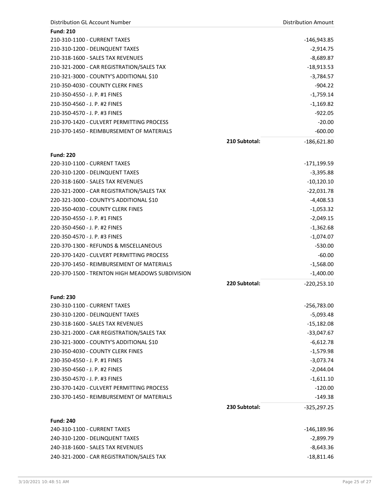| Distribution GL Account Number                  |               | <b>Distribution Amount</b> |
|-------------------------------------------------|---------------|----------------------------|
| <b>Fund: 210</b>                                |               |                            |
| 210-310-1100 - CURRENT TAXES                    |               | -146,943.85                |
| 210-310-1200 - DELINQUENT TAXES                 |               | $-2,914.75$                |
| 210-318-1600 - SALES TAX REVENUES               |               | $-8,689.87$                |
| 210-321-2000 - CAR REGISTRATION/SALES TAX       |               | $-18,913.53$               |
| 210-321-3000 - COUNTY'S ADDITIONAL \$10         |               | $-3,784.57$                |
| 210-350-4030 - COUNTY CLERK FINES               |               | $-904.22$                  |
| 210-350-4550 - J. P. #1 FINES                   |               | $-1,759.14$                |
| 210-350-4560 - J. P. #2 FINES                   |               | $-1,169.82$                |
| 210-350-4570 - J. P. #3 FINES                   |               | $-922.05$                  |
| 210-370-1420 - CULVERT PERMITTING PROCESS       |               | $-20.00$                   |
| 210-370-1450 - REIMBURSEMENT OF MATERIALS       |               | $-600.00$                  |
|                                                 | 210 Subtotal: | $-186,621.80$              |
|                                                 |               |                            |
| <b>Fund: 220</b>                                |               |                            |
| 220-310-1100 - CURRENT TAXES                    |               | -171,199.59                |
| 220-310-1200 - DELINQUENT TAXES                 |               | $-3,395.88$                |
| 220-318-1600 - SALES TAX REVENUES               |               | $-10,120.10$               |
| 220-321-2000 - CAR REGISTRATION/SALES TAX       |               | $-22,031.78$               |
| 220-321-3000 - COUNTY'S ADDITIONAL \$10         |               | $-4,408.53$                |
| 220-350-4030 - COUNTY CLERK FINES               |               | $-1,053.32$                |
| 220-350-4550 - J. P. #1 FINES                   |               | $-2,049.15$                |
| 220-350-4560 - J. P. #2 FINES                   |               | $-1,362.68$                |
| 220-350-4570 - J. P. #3 FINES                   |               | $-1,074.07$                |
| 220-370-1300 - REFUNDS & MISCELLANEOUS          |               | $-530.00$                  |
| 220-370-1420 - CULVERT PERMITTING PROCESS       |               | $-60.00$                   |
| 220-370-1450 - REIMBURSEMENT OF MATERIALS       |               | $-1,568.00$                |
| 220-370-1500 - TRENTON HIGH MEADOWS SUBDIVISION |               | $-1,400.00$                |
|                                                 | 220 Subtotal: | $-220,253.10$              |
|                                                 |               |                            |
| <b>Fund: 230</b>                                |               |                            |
| 230-310-1100 - CURRENT TAXES                    |               | $-256,783.00$              |
| 230-310-1200 - DELINQUENT TAXES                 |               | $-5,093.48$                |
| 230-318-1600 - SALES TAX REVENUES               |               | $-15,182.08$               |
| 230-321-2000 - CAR REGISTRATION/SALES TAX       |               | $-33,047.67$               |
| 230-321-3000 - COUNTY'S ADDITIONAL \$10         |               | $-6,612.78$                |
| 230-350-4030 - COUNTY CLERK FINES               |               | $-1,579.98$                |
| 230-350-4550 - J. P. #1 FINES                   |               | $-3,073.74$                |
| 230-350-4560 - J. P. #2 FINES                   |               | $-2,044.04$                |
| 230-350-4570 - J. P. #3 FINES                   |               | $-1,611.10$                |
| 230-370-1420 - CULVERT PERMITTING PROCESS       |               | $-120.00$                  |
| 230-370-1450 - REIMBURSEMENT OF MATERIALS       |               | $-149.38$                  |
|                                                 | 230 Subtotal: | $-325,297.25$              |
|                                                 |               |                            |
| <b>Fund: 240</b>                                |               |                            |
| 240-310-1100 - CURRENT TAXES                    |               | $-146,189.96$              |
| 240-310-1200 - DELINQUENT TAXES                 |               | $-2,899.79$                |
| 240-318-1600 - SALES TAX REVENUES               |               | $-8,643.36$                |
| 240-321-2000 - CAR REGISTRATION/SALES TAX       |               | $-18,811.46$               |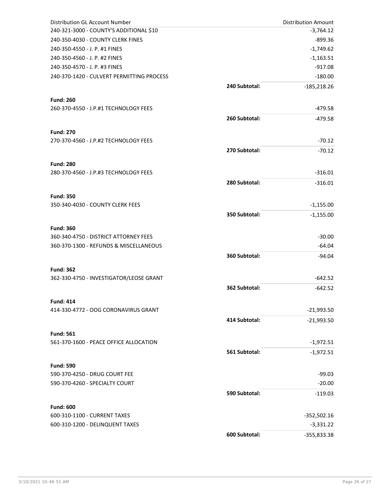| Distribution GL Account Number                   |               | <b>Distribution Amount</b> |
|--------------------------------------------------|---------------|----------------------------|
| 240-321-3000 - COUNTY'S ADDITIONAL \$10          |               | $-3,764.12$                |
| 240-350-4030 - COUNTY CLERK FINES                |               | $-899.36$                  |
| 240-350-4550 - J. P. #1 FINES                    |               | $-1,749.62$                |
| 240-350-4560 - J. P. #2 FINES                    |               | $-1,163.51$                |
| 240-350-4570 - J. P. #3 FINES                    |               | $-917.08$                  |
| 240-370-1420 - CULVERT PERMITTING PROCESS        |               | $-180.00$                  |
|                                                  | 240 Subtotal: | $-185,218.26$              |
|                                                  |               |                            |
| <b>Fund: 260</b>                                 |               |                            |
| 260-370-4550 - J.P.#1 TECHNOLOGY FEES            |               | $-479.58$                  |
|                                                  | 260 Subtotal: | $-479.58$                  |
| <b>Fund: 270</b>                                 |               |                            |
| 270-370-4560 - J.P.#2 TECHNOLOGY FEES            |               | $-70.12$                   |
|                                                  | 270 Subtotal: | $-70.12$                   |
|                                                  |               |                            |
| <b>Fund: 280</b>                                 |               |                            |
| 280-370-4560 - J.P.#3 TECHNOLOGY FEES            |               | $-316.01$                  |
|                                                  | 280 Subtotal: | $-316.01$                  |
| <b>Fund: 350</b>                                 |               |                            |
| 350-340-4030 - COUNTY CLERK FEES                 |               | $-1,155.00$                |
|                                                  | 350 Subtotal: | $-1,155.00$                |
|                                                  |               |                            |
| <b>Fund: 360</b>                                 |               |                            |
| 360-340-4750 - DISTRICT ATTORNEY FEES            |               | $-30.00$                   |
| 360-370-1300 - REFUNDS & MISCELLANEOUS           |               | $-64.04$                   |
|                                                  | 360 Subtotal: | $-94.04$                   |
| <b>Fund: 362</b>                                 |               |                            |
| 362-330-4750 - INVESTIGATOR/LEOSE GRANT          |               | $-642.52$                  |
|                                                  | 362 Subtotal: | $-642.52$                  |
|                                                  |               |                            |
| <b>Fund: 414</b>                                 |               |                            |
| 414-330-4772 - OOG CORONAVIRUS GRANT             |               | $-21,993.50$               |
|                                                  | 414 Subtotal: | $-21,993.50$               |
| <b>Fund: 561</b>                                 |               |                            |
| 561-370-1600 - PEACE OFFICE ALLOCATION           |               | $-1,972.51$                |
|                                                  | 561 Subtotal: |                            |
|                                                  |               | $-1,972.51$                |
| <b>Fund: 590</b>                                 |               |                            |
| 590-370-4250 - DRUG COURT FEE                    |               | $-99.03$                   |
| 590-370-4260 - SPECIALTY COURT                   |               | $-20.00$                   |
|                                                  | 590 Subtotal: | $-119.03$                  |
|                                                  |               |                            |
| <b>Fund: 600</b><br>600-310-1100 - CURRENT TAXES |               | $-352,502.16$              |
|                                                  |               |                            |
| 600-310-1200 - DELINQUENT TAXES                  |               | $-3,331.22$                |
|                                                  | 600 Subtotal: | $-355,833.38$              |